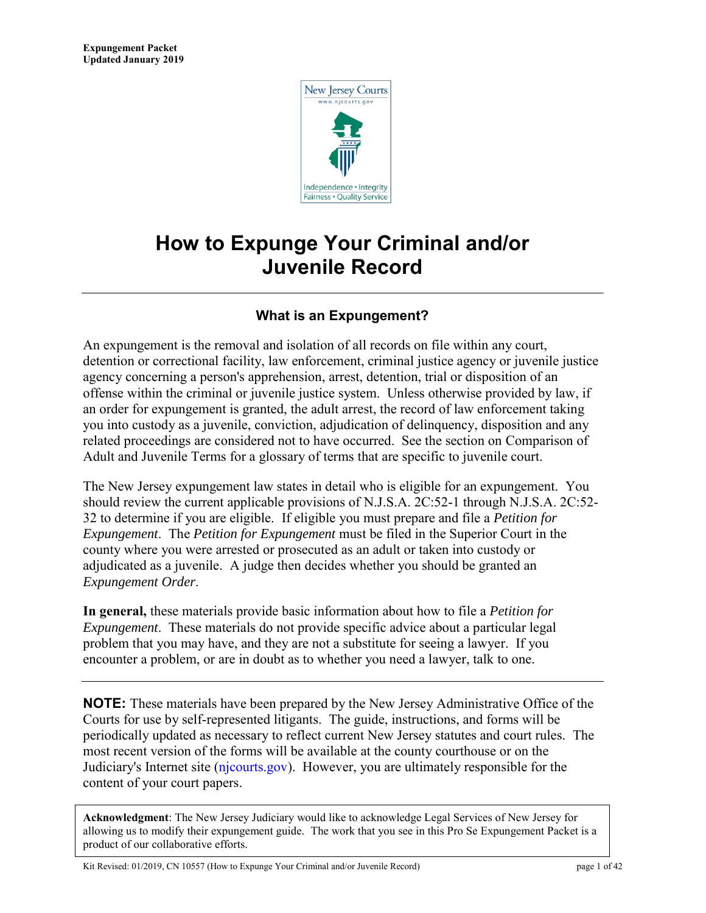

# **How to Expunge Your Criminal and/or Juvenile Record**

# **What is an Expungement?**

An expungement is the removal and isolation of all records on file within any court, detention or correctional facility, law enforcement, criminal justice agency or juvenile justice agency concerning a person's apprehension, arrest, detention, trial or disposition of an offense within the criminal or juvenile justice system. Unless otherwise provided by law, if an order for expungement is granted, the adult arrest, the record of law enforcement taking you into custody as a juvenile, conviction, adjudication of delinquency, disposition and any related proceedings are considered not to have occurred. See the section on Comparison of Adult and Juvenile Terms for a glossary of terms that are specific to juvenile court.

The New Jersey expungement law states in detail who is eligible for an expungement. You should review the current applicable provisions of N.J.S.A. 2C:52-1 through N.J.S.A. 2C:52- 32 to determine if you are eligible. If eligible you must prepare and file a *Petition for Expungement*. The *Petition for Expungement* must be filed in the Superior Court in the county where you were arrested or prosecuted as an adult or taken into custody or adjudicated as a juvenile. A judge then decides whether you should be granted an *Expungement Order*.

**In general,** these materials provide basic information about how to file a *Petition for Expungement*. These materials do not provide specific advice about a particular legal problem that you may have, and they are not a substitute for seeing a lawyer. If you encounter a problem, or are in doubt as to whether you need a lawyer, talk to one.

**NOTE:** These materials have been prepared by the New Jersey Administrative Office of the Courts for use by self-represented litigants. The guide, instructions, and forms will be periodically updated as necessary to reflect current New Jersey statutes and court rules. The most recent version of the forms will be available at the county courthouse or on the Judiciary's Internet site [\(njcourts.gov\).](http://www.njcourts.gov/selfhelp/index.html) However, you are ultimately responsible for the content of your court papers.

**Acknowledgment**: The New Jersey Judiciary would like to acknowledge Legal Services of New Jersey for allowing us to modify their expungement guide. The work that you see in this Pro Se Expungement Packet is a product of our collaborative efforts.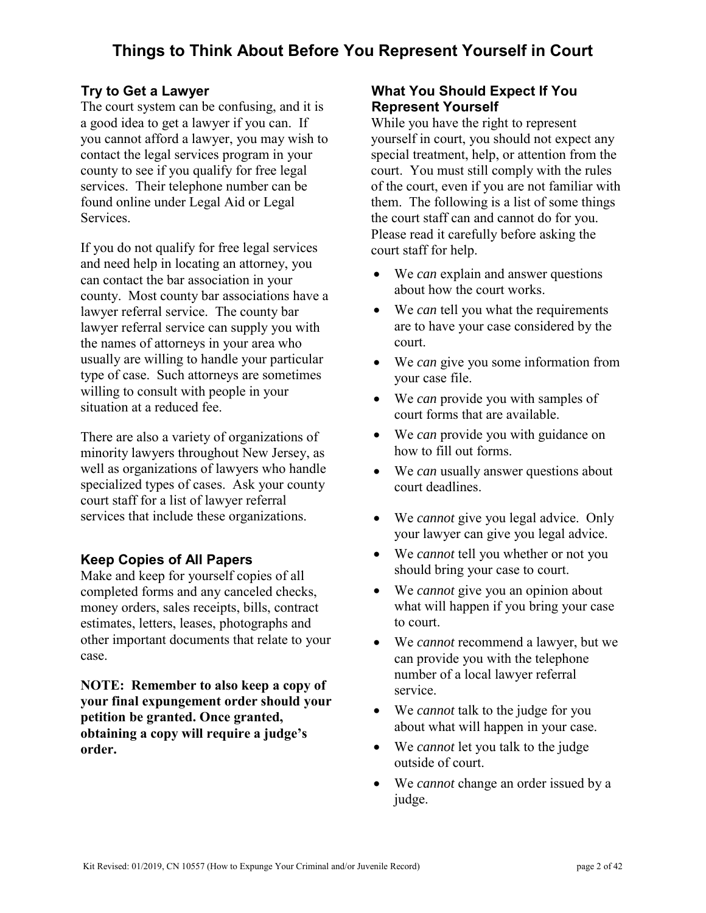# **Try to Get a Lawyer**

The court system can be confusing, and it is a good idea to get a lawyer if you can. If you cannot afford a lawyer, you may wish to contact the legal services program in your county to see if you qualify for free legal services. Their telephone number can be found online under Legal Aid or Legal Services.

If you do not qualify for free legal services and need help in locating an attorney, you can contact the bar association in your county. Most county bar associations have a lawyer referral service. The county bar lawyer referral service can supply you with the names of attorneys in your area who usually are willing to handle your particular type of case. Such attorneys are sometimes willing to consult with people in your situation at a reduced fee.

There are also a variety of organizations of minority lawyers throughout New Jersey, as well as organizations of lawyers who handle specialized types of cases. Ask your county court staff for a list of lawyer referral services that include these organizations.

# **Keep Copies of All Papers**

Make and keep for yourself copies of all completed forms and any canceled checks, money orders, sales receipts, bills, contract estimates, letters, leases, photographs and other important documents that relate to your case.

**NOTE: Remember to also keep a copy of your final expungement order should your petition be granted. Once granted, obtaining a copy will require a judge's order.** 

# **What You Should Expect If You Represent Yourself**

While you have the right to represent yourself in court, you should not expect any special treatment, help, or attention from the court. You must still comply with the rules of the court, even if you are not familiar with them. The following is a list of some things the court staff can and cannot do for you. Please read it carefully before asking the court staff for help.

- We *can* explain and answer questions about how the court works.
- We *can* tell you what the requirements are to have your case considered by the court.
- We *can* give you some information from your case file.
- We *can* provide you with samples of court forms that are available.
- We *can* provide you with guidance on how to fill out forms.
- We *can* usually answer questions about court deadlines.
- We *cannot* give you legal advice. Only your lawyer can give you legal advice.
- We *cannot* tell you whether or not you should bring your case to court.
- We *cannot* give you an opinion about what will happen if you bring your case to court.
- We *cannot* recommend a lawyer, but we can provide you with the telephone number of a local lawyer referral service.
- We *cannot* talk to the judge for you about what will happen in your case.
- We *cannot* let you talk to the judge outside of court.
- We *cannot* change an order issued by a judge.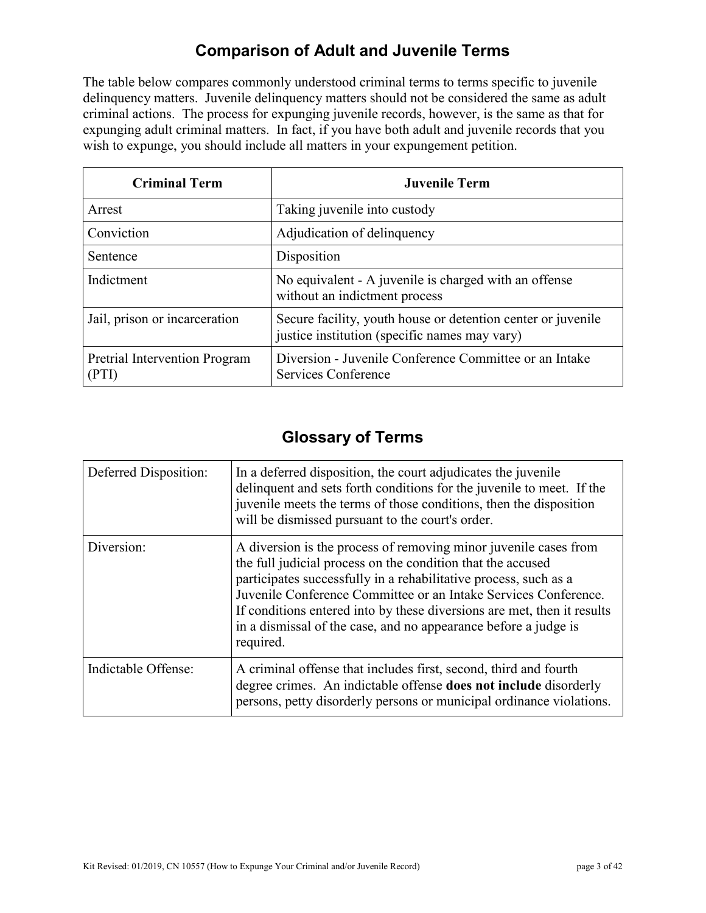# **Comparison of Adult and Juvenile Terms**

The table below compares commonly understood criminal terms to terms specific to juvenile delinquency matters. Juvenile delinquency matters should not be considered the same as adult criminal actions. The process for expunging juvenile records, however, is the same as that for expunging adult criminal matters. In fact, if you have both adult and juvenile records that you wish to expunge, you should include all matters in your expungement petition.

| <b>Criminal Term</b>                   | <b>Juvenile Term</b>                                                                                          |
|----------------------------------------|---------------------------------------------------------------------------------------------------------------|
| Arrest                                 | Taking juvenile into custody                                                                                  |
| Conviction                             | Adjudication of delinquency                                                                                   |
| Sentence                               | Disposition                                                                                                   |
| Indictment                             | No equivalent - A juvenile is charged with an offense<br>without an indictment process                        |
| Jail, prison or incarceration          | Secure facility, youth house or detention center or juvenile<br>justice institution (specific names may vary) |
| Pretrial Intervention Program<br>(PTI) | Diversion - Juvenile Conference Committee or an Intake<br><b>Services Conference</b>                          |

# **Glossary of Terms**

| Deferred Disposition: | In a deferred disposition, the court adjudicates the juvenile<br>delinquent and sets forth conditions for the juvenile to meet. If the<br>juvenile meets the terms of those conditions, then the disposition<br>will be dismissed pursuant to the court's order.                                                                                                                                                                  |
|-----------------------|-----------------------------------------------------------------------------------------------------------------------------------------------------------------------------------------------------------------------------------------------------------------------------------------------------------------------------------------------------------------------------------------------------------------------------------|
| Diversion:            | A diversion is the process of removing minor juvenile cases from<br>the full judicial process on the condition that the accused<br>participates successfully in a rehabilitative process, such as a<br>Juvenile Conference Committee or an Intake Services Conference.<br>If conditions entered into by these diversions are met, then it results<br>in a dismissal of the case, and no appearance before a judge is<br>required. |
| Indictable Offense:   | A criminal offense that includes first, second, third and fourth<br>degree crimes. An indictable offense <b>does not include</b> disorderly<br>persons, petty disorderly persons or municipal ordinance violations.                                                                                                                                                                                                               |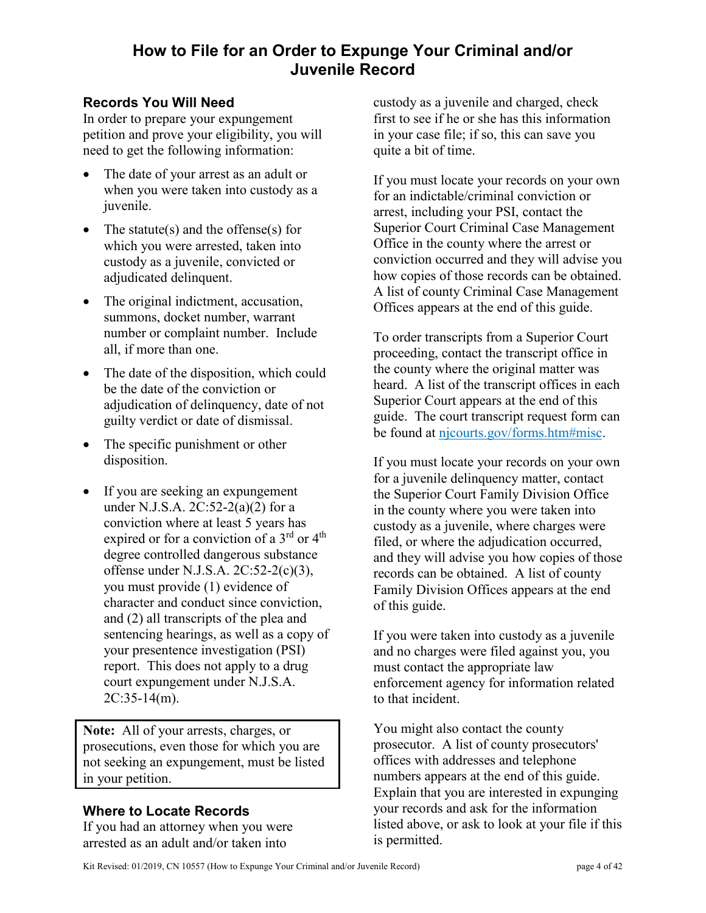# **How to File for an Order to Expunge Your Criminal and/or Juvenile Record**

# **Records You Will Need**

In order to prepare your expungement petition and prove your eligibility, you will need to get the following information:

- The date of your arrest as an adult or when you were taken into custody as a juvenile.
- The statute(s) and the offense(s) for which you were arrested, taken into custody as a juvenile, convicted or adjudicated delinquent.
- The original indictment, accusation, summons, docket number, warrant number or complaint number. Include all, if more than one.
- The date of the disposition, which could be the date of the conviction or adjudication of delinquency, date of not guilty verdict or date of dismissal.
- The specific punishment or other disposition.
- If you are seeking an expungement under N.J.S.A. 2C:52-2(a)(2) for a conviction where at least 5 years has expired or for a conviction of a 3<sup>rd</sup> or 4<sup>th</sup> degree controlled dangerous substance offense under N.J.S.A. 2C:52-2(c)(3), you must provide (1) evidence of character and conduct since conviction, and (2) all transcripts of the plea and sentencing hearings, as well as a copy of your presentence investigation (PSI) report. This does not apply to a drug court expungement under N.J.S.A. 2C:35-14(m).

**Note:** All of your arrests, charges, or prosecutions, even those for which you are not seeking an expungement, must be listed in your petition.

# **Where to Locate Records**

If you had an attorney when you were arrested as an adult and/or taken into

custody as a juvenile and charged, check first to see if he or she has this information in your case file; if so, this can save you quite a bit of time.

If you must locate your records on your own for an indictable/criminal conviction or arrest, including your PSI, contact the Superior Court Criminal Case Management Office in the county where the arrest or conviction occurred and they will advise you how copies of those records can be obtained. A list of county Criminal Case Management Offices appears at the end of this guide.

To order transcripts from a Superior Court proceeding, contact the transcript office in the county where the original matter was heard. A list of the transcript offices in each Superior Court appears at the end of this guide. The court transcript request form can be found at njcourts.gov/forms.htm#misc.

If you must locate your records on your own for a juvenile delinquency matter, contact the Superior Court Family Division Office in the county where you were taken into custody as a juvenile, where charges were filed, or w[here the adjudication occurred,](http://njcourts.gov/forms.htm#misc) and they will advise you how copies of those records can be obtained. A list of county Family Division Offices appears at the end of this guide.

If you were taken into custody as a juvenile and no charges were filed against you, you must contact the appropriate law enforcement agency for information related to that incident.

You might also contact the county prosecutor. A list of county prosecutors' offices with addresses and telephone numbers appears at the end of this guide. Explain that you are interested in expunging your records and ask for the information listed above, or ask to look at your file if this is permitted.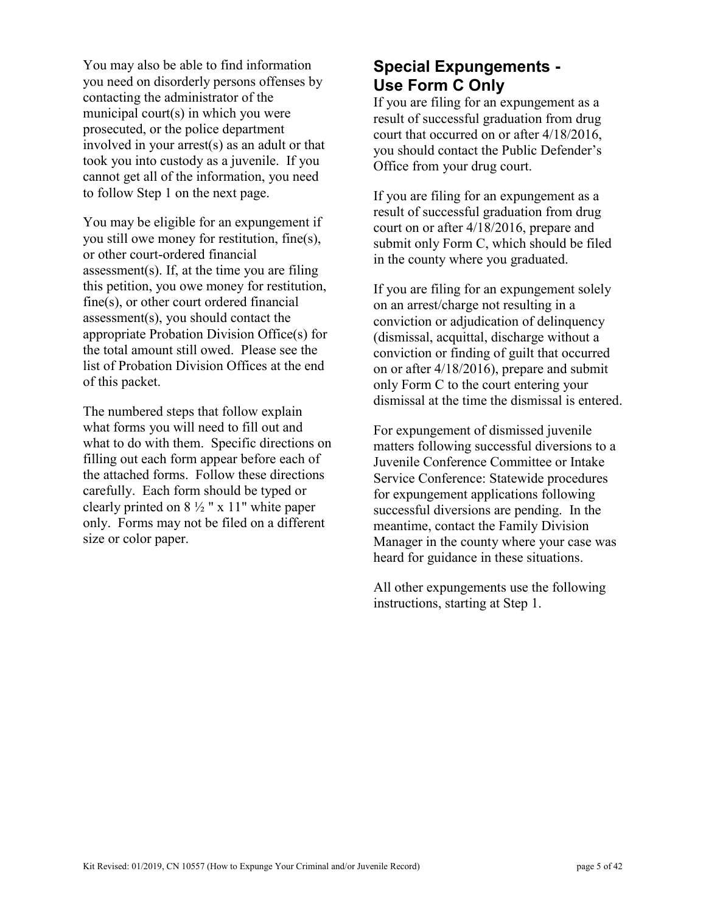You may also be able to find information you need on disorderly persons offenses by contacting the administrator of the municipal court(s) in which you were prosecuted, or the police department involved in your arrest(s) as an adult or that took you into custody as a juvenile. If you cannot get all of the information, you need to follow Step 1 on the next page.

You may be eligible for an expungement if you still owe money for restitution, fine(s), or other court-ordered financial assessment(s). If, at the time you are filing this petition, you owe money for restitution, fine(s), or other court ordered financial assessment(s), you should contact the appropriate Probation Division Office(s) for the total amount still owed. Please see the list of Probation Division Offices at the end of this packet.

The numbered steps that follow explain what forms you will need to fill out and what to do with them. Specific directions on filling out each form appear before each of the attached forms. Follow these directions carefully. Each form should be typed or clearly printed on  $8\frac{1}{2}$  " x 11" white paper only. Forms may not be filed on a different size or color paper.

# **Special Expungements - Use Form C Only**

If you are filing for an expungement as a result of successful graduation from drug court that occurred on or after 4/18/2016, you should contact the Public Defender's Office from your drug court.

If you are filing for an expungement as a result of successful graduation from drug court on or after 4/18/2016, prepare and submit only Form C, which should be filed in the county where you graduated.

If you are filing for an expungement solely on an arrest/charge not resulting in a conviction or adjudication of delinquency (dismissal, acquittal, discharge without a conviction or finding of guilt that occurred on or after 4/18/2016), prepare and submit only Form C to the court entering your dismissal at the time the dismissal is entered.

For expungement of dismissed juvenile matters following successful diversions to a Juvenile Conference Committee or Intake Service Conference: Statewide procedures for expungement applications following successful diversions are pending. In the meantime, contact the Family Division Manager in the county where your case was heard for guidance in these situations.

All other expungements use the following instructions, starting at Step 1.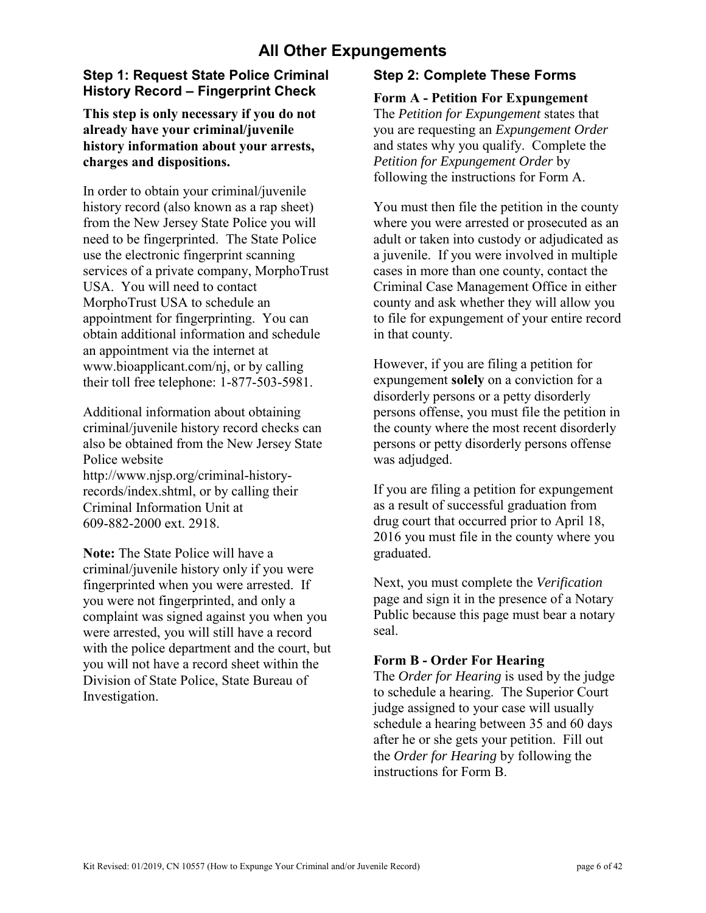# **All Other Expungements**

# **Step 1: Request State Police Criminal History Record – Fingerprint Check**

### **This step is only necessary if you do not already have your criminal/juvenile history information about your arrests, charges and dispositions.**

In order to obtain your criminal/juvenile history record (also known as a rap sheet) from the New Jersey State Police you will need to be fingerprinted. The State Police use the electronic fingerprint scanning services of a private company, MorphoTrust USA. You will need to contact MorphoTrust USA to schedule an appointment for fingerprinting. You can obtain additional information and schedule an appointment via the internet at [www.bioapplicant.com/nj, o](http://www.bioapplicant.com/njs)r by calling their toll free telephone: 1-877-503-5981.

Additional information about obtaining criminal/juvenile history record checks can also be obtained from the New Jersey State Police website [http://www.njsp.org/criminal-h](http://njsp.org/about/serv_chrc.html)istoryrecords/index.shtml, or by calling their Criminal Information Unit at

609-882-2000 ext. 2918.

**Note:** The State Police will have a criminal/juvenile history only if you were fingerprinted when you were arrested. If you were not fingerprinted, and only a complaint was signed against you when you were arrested, you will still have a record with the police department and the court, but you will not have a record sheet within the Division of State Police, State Bureau of Investigation.

# **Step 2: Complete These Forms**

### **Form A - Petition For Expungement**

The *Petition for Expungement* states that you are requesting an *Expungement Order* and states why you qualify. Complete the *Petition for Expungement Order* by following the instructions for Form A.

You must then file the petition in the county where you were arrested or prosecuted as an adult or taken into custody or adjudicated as a juvenile. If you were involved in multiple cases in more than one county, contact the Criminal Case Management Office in either county and ask whether they will allow you to file for expungement of your entire record in that county.

However, if you are filing a petition for expungement **solely** on a conviction for a disorderly persons or a petty disorderly persons offense, you must file the petition in the county where the most recent disorderly persons or petty disorderly persons offense was adjudged.

If you are filing a petition for expungement as a result of successful graduation from drug court that occurred prior to April 18, 2016 you must file in the county where you graduated.

Next, you must complete the *Verification* page and sign it in the presence of a Notary Public because this page must bear a notary seal.

#### **Form B - Order For Hearing**

The *Order for Hearing* is used by the judge to schedule a hearing. The Superior Court judge assigned to your case will usually schedule a hearing between 35 and 60 days after he or she gets your petition. Fill out the *Order for Hearing* by following the instructions for Form B.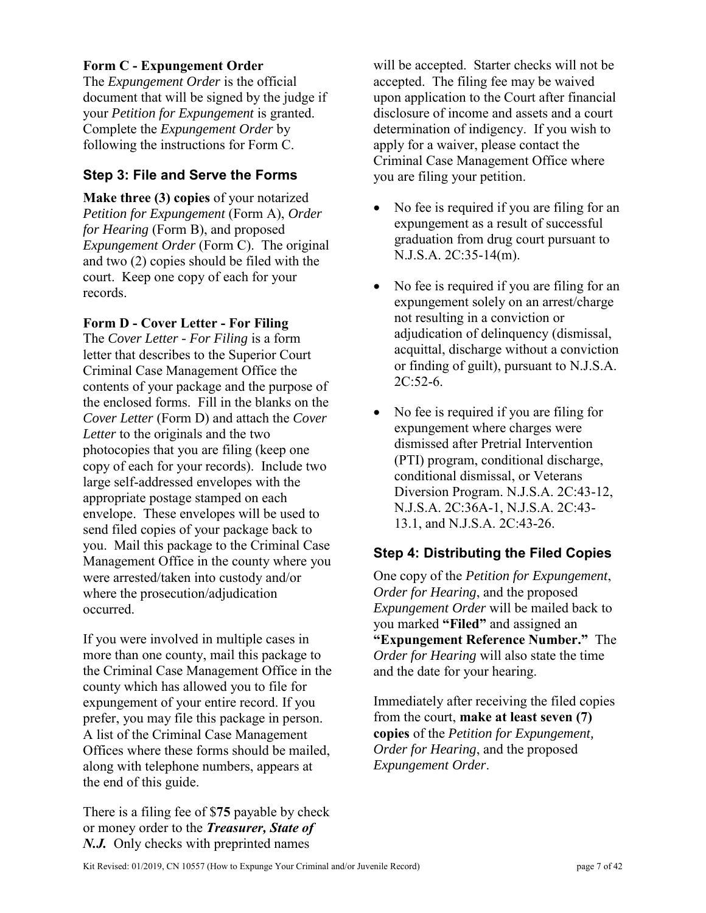#### **Form C - Expungement Order**

The *Expungement Order* is the official document that will be signed by the judge if your *Petition for Expungement* is granted. Complete the *Expungement Order* by following the instructions for Form C.

# **Step 3: File and Serve the Forms**

**Make three (3) copies** of your notarized *Petition for Expungement* (Form A), *Order for Hearing* (Form B), and proposed *Expungement Order* (Form C). The original and two (2) copies should be filed with the court. Keep one copy of each for your records.

#### **Form D - Cover Letter - For Filing**

The *Cover Letter - For Filing* is a form letter that describes to the Superior Court Criminal Case Management Office the contents of your package and the purpose of the enclosed forms. Fill in the blanks on the *Cover Letter* (Form D) and attach the *Cover Letter* to the originals and the two photocopies that you are filing (keep one copy of each for your records). Include two large self-addressed envelopes with the appropriate postage stamped on each envelope. These envelopes will be used to send filed copies of your package back to you. Mail this package to the Criminal Case Management Office in the county where you were arrested/taken into custody and/or where the prosecution/adjudication occurred.

If you were involved in multiple cases in more than one county, mail this package to the Criminal Case Management Office in the county which has allowed you to file for expungement of your entire record. If you prefer, you may file this package in person. A list of the Criminal Case Management Offices where these forms should be mailed, along with telephone numbers, appears at the end of this guide.

There is a filing fee of \$**75** payable by check or money order to the *Treasurer, State of N.J.* Only checks with preprinted names

will be accepted. Starter checks will not be accepted. The filing fee may be waived upon application to the Court after financial disclosure of income and assets and a court determination of indigency. If you wish to apply for a waiver, please contact the Criminal Case Management Office where you are filing your petition.

- No fee is required if you are filing for an expungement as a result of successful graduation from drug court pursuant to N.J.S.A. 2C:35-14(m).
- No fee is required if you are filing for an expungement solely on an arrest/charge not resulting in a conviction or adjudication of delinquency (dismissal, acquittal, discharge without a conviction or finding of guilt), pursuant to N.J.S.A.  $2C:52-6.$
- No fee is required if you are filing for expungement where charges were dismissed after Pretrial Intervention (PTI) program, conditional discharge, conditional dismissal, or Veterans Diversion Program. N.J.S.A. 2C:43-12, N.J.S.A. 2C:36A-1, N.J.S.A. 2C:43- 13.1, and N.J.S.A. 2C:43-26.

# **Step 4: Distributing the Filed Copies**

One copy of the *Petition for Expungement*, *Order for Hearing*, and the proposed *Expungement Order* will be mailed back to you marked **"Filed"** and assigned an **"Expungement Reference Number."** The *Order for Hearing* will also state the time and the date for your hearing.

Immediately after receiving the filed copies from the court, **make at least seven (7) copies** of the *Petition for Expungement, Order for Hearing*, and the proposed *Expungement Order*.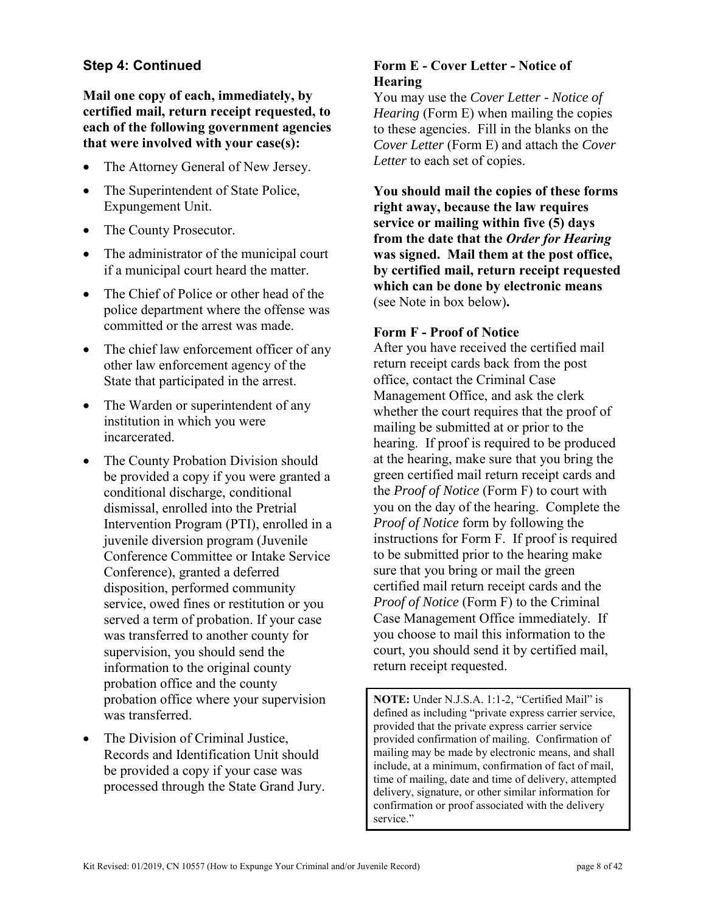# **Step 4: Continued**

**Mail one copy of each, immediately, by certified mail, return receipt requested, to each of the following government agencies that were involved with your case(s):**

- The Attorney General of New Jersey.
- The Superintendent of State Police, Expungement Unit.
- The County Prosecutor.
- The administrator of the municipal court if a municipal court heard the matter.
- The Chief of Police or other head of the police department where the offense was committed or the arrest was made.
- The chief law enforcement officer of any other law enforcement agency of the State that participated in the arrest.
- The Warden or superintendent of any institution in which you were incarcerated.
- The County Probation Division should be provided a copy if you were granted a conditional discharge, conditional dismissal, enrolled into the Pretrial Intervention Program (PTI), enrolled in a juvenile diversion program (Juvenile Conference Committee or Intake Service Conference), granted a deferred disposition, performed community service, owed fines or restitution or you served a term of probation. If your case was transferred to another county for supervision, you should send the information to the original county probation office and the county probation office where your supervision was transferred.
- The Division of Criminal Justice, Records and Identification Unit should be provided a copy if your case was processed through the State Grand Jury.

# **Form E - Cover Letter - Notice of Hearing**

You may use the *Cover Letter - Notice of Hearing* (Form E) when mailing the copies to these agencies. Fill in the blanks on the *Cover Letter* (Form E) and attach the *Cover Letter* to each set of copies.

**You should mail the copies of these forms right away, because the law requires service or mailing within five (5) days from the date that the** *Order for Hearing* **was signed. Mail them at the post office, by certified mail, return receipt requested which can be done by electronic means**  (see Note in box below)**.**

#### **Form F - Proof of Notice**

After you have received the certified mail return receipt cards back from the post office, contact the Criminal Case Management Office, and ask the clerk whether the court requires that the proof of mailing be submitted at or prior to the hearing. If proof is required to be produced at the hearing, make sure that you bring the green certified mail return receipt cards and the *Proof of Notice* (Form F) to court with you on the day of the hearing. Complete the *Proof of Notice* form by following the instructions for Form F. If proof is required to be submitted prior to the hearing make sure that you bring or mail the green certified mail return receipt cards and the *Proof of Notice* (Form F) to the Criminal Case Management Office immediately. If you choose to mail this information to the court, you should send it by certified mail, return receipt requested.

**NOTE:** Under N.J.S.A. 1:1-2, "Certified Mail" is defined as including "private express carrier service, provided that the private express carrier service provided confirmation of mailing. Confirmation of mailing may be made by electronic means, and shall include, at a minimum, confirmation of fact of mail, time of mailing, date and time of delivery, attempted delivery, signature, or other similar information for confirmation or proof associated with the delivery service."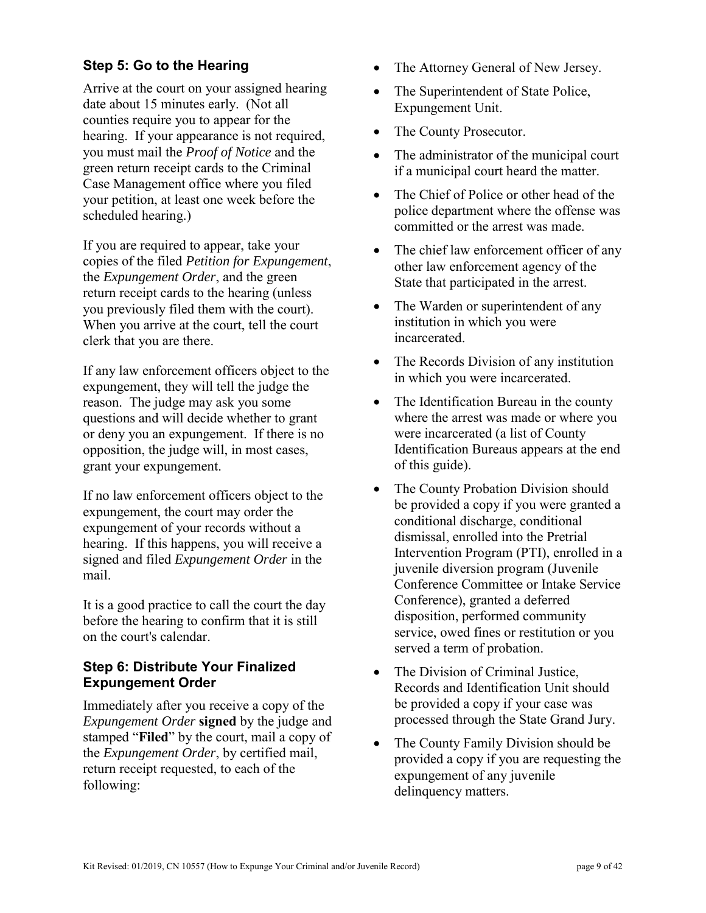# **Step 5: Go to the Hearing**

Arrive at the court on your assigned hearing date about 15 minutes early. (Not all counties require you to appear for the hearing. If your appearance is not required, you must mail the *Proof of Notice* and the green return receipt cards to the Criminal Case Management office where you filed your petition, at least one week before the scheduled hearing.)

If you are required to appear, take your copies of the filed *Petition for Expungement*, the *Expungement Order*, and the green return receipt cards to the hearing (unless you previously filed them with the court). When you arrive at the court, tell the court clerk that you are there.

If any law enforcement officers object to the expungement, they will tell the judge the reason. The judge may ask you some questions and will decide whether to grant or deny you an expungement. If there is no opposition, the judge will, in most cases, grant your expungement.

If no law enforcement officers object to the expungement, the court may order the expungement of your records without a hearing. If this happens, you will receive a signed and filed *Expungement Order* in the mail.

It is a good practice to call the court the day before the hearing to confirm that it is still on the court's calendar.

# **Step 6: Distribute Your Finalized Expungement Order**

Immediately after you receive a copy of the *Expungement Order* **signed** by the judge and stamped "**Filed**" by the court, mail a copy of the *Expungement Order*, by certified mail, return receipt requested, to each of the following:

- The Attorney General of New Jersey.
- The Superintendent of State Police, Expungement Unit.
- The County Prosecutor.
- The administrator of the municipal court if a municipal court heard the matter.
- The Chief of Police or other head of the police department where the offense was committed or the arrest was made.
- The chief law enforcement officer of any other law enforcement agency of the State that participated in the arrest.
- The Warden or superintendent of any institution in which you were incarcerated.
- The Records Division of any institution in which you were incarcerated.
- The Identification Bureau in the county where the arrest was made or where you were incarcerated (a list of County Identification Bureaus appears at the end of this guide).
- The County Probation Division should be provided a copy if you were granted a conditional discharge, conditional dismissal, enrolled into the Pretrial Intervention Program (PTI), enrolled in a juvenile diversion program (Juvenile Conference Committee or Intake Service Conference), granted a deferred disposition, performed community service, owed fines or restitution or you served a term of probation.
- The Division of Criminal Justice, Records and Identification Unit should be provided a copy if your case was processed through the State Grand Jury.
- The County Family Division should be provided a copy if you are requesting the expungement of any juvenile delinquency matters.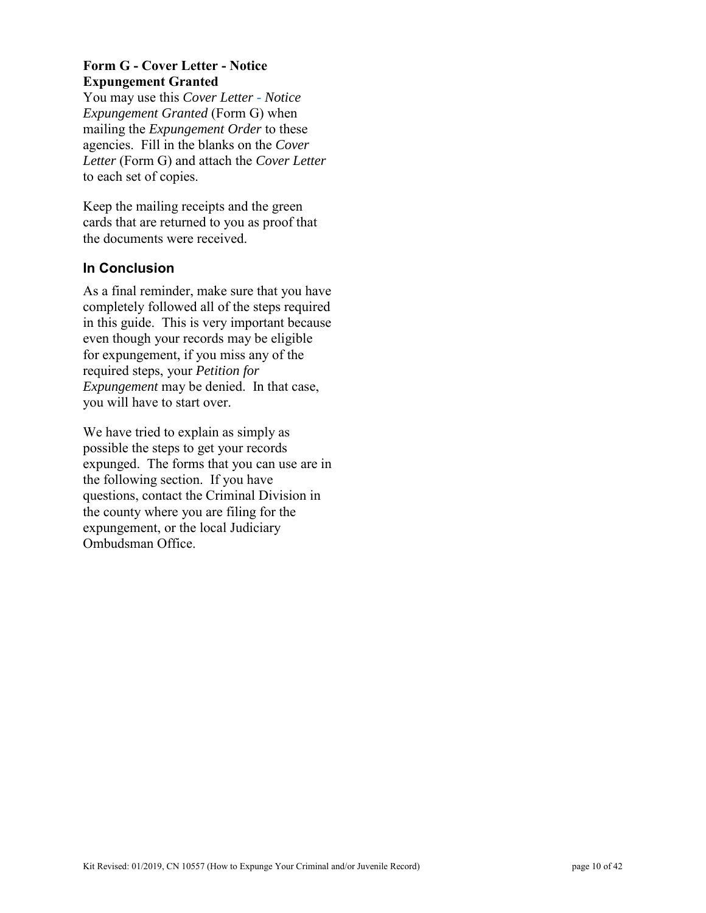# **Form G - Cover Letter - Notice Expungement Granted**

You may use this *Cover Letter - Notice Expungement Granted* (Form G) when mailing the *Expungement Order* to these agencies. Fill in the blanks on the *Cover Letter* (Form G) and attach the *Cover Letter* to each set of copies.

Keep the mailing receipts and the green cards that are returned to you as proof that the documents were received.

# **In Conclusion**

As a final reminder, make sure that you have completely followed all of the steps required in this guide. This is very important because even though your records may be eligible for expungement, if you miss any of the required steps, your *Petition for Expungement* may be denied. In that case, you will have to start over.

We have tried to explain as simply as possible the steps to get your records expunged. The forms that you can use are in the following section. If you have questions, contact the Criminal Division in the county where you are filing for the expungement, or the local Judiciary Ombudsman Office.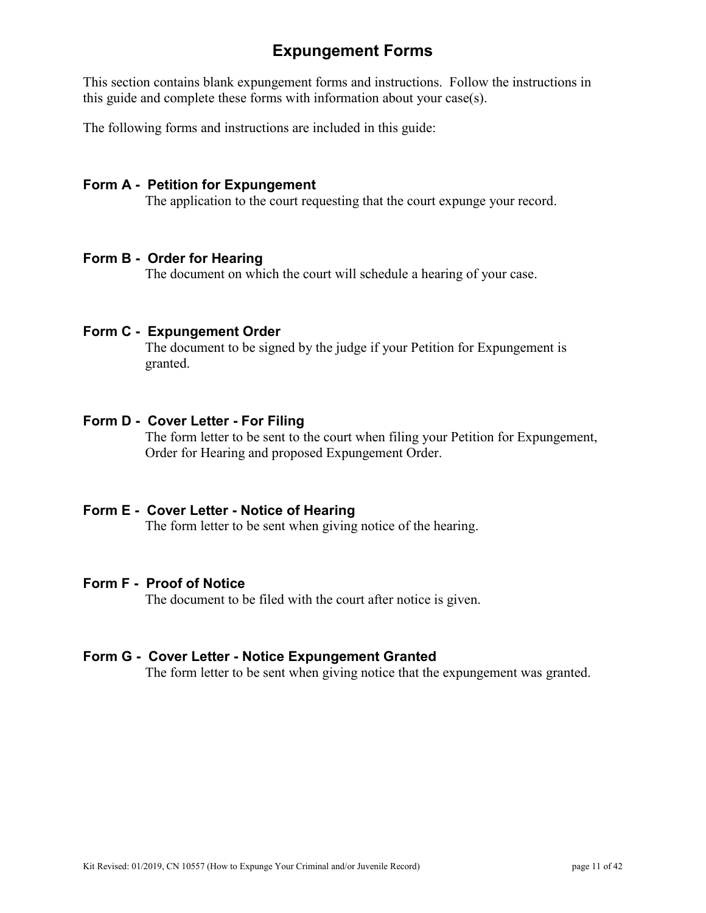# **Expungement Forms**

This section contains blank expungement forms and instructions. Follow the instructions in this guide and complete these forms with information about your case(s).

The following forms and instructions are included in this guide:

### **Form A - Petition for Expungement**

The application to the court requesting that the court expunge your record.

#### **Form B - Order for Hearing**

The document on which the court will schedule a hearing of your case.

### **Form C - Expungement Order**

The document to be signed by the judge if your Petition for Expungement is granted.

#### **Form D - Cover Letter - For Filing**

The form letter to be sent to the court when filing your Petition for Expungement, Order for Hearing and proposed Expungement Order.

#### **Form E - Cover Letter - Notice of Hearing**

The form letter to be sent when giving notice of the hearing.

#### **Form F - Proof of Notice**

The document to be filed with the court after notice is given.

#### **Form G - Cover Letter - Notice Expungement Granted**

The form letter to be sent when giving notice that the expungement was granted.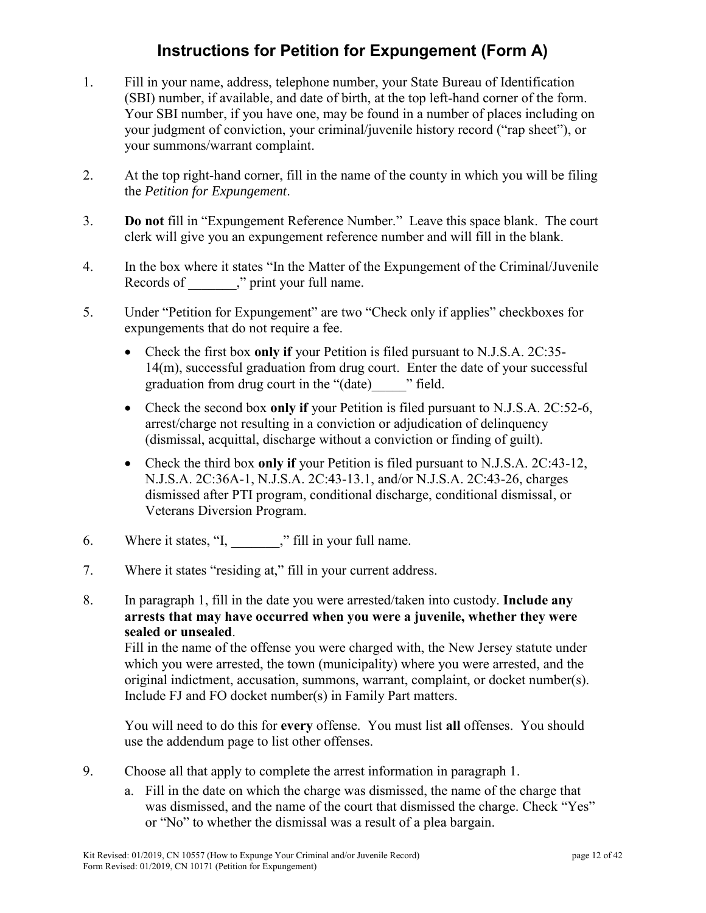# **Instructions for Petition for Expungement (Form A)**

- 1. Fill in your name, address, telephone number, your State Bureau of Identification (SBI) number, if available, and date of birth, at the top left-hand corner of the form. Your SBI number, if you have one, may be found in a number of places including on your judgment of conviction, your criminal/juvenile history record ("rap sheet"), or your summons/warrant complaint.
- 2. At the top right-hand corner, fill in the name of the county in which you will be filing the *Petition for Expungement*.
- 3. **Do not** fill in "Expungement Reference Number." Leave this space blank. The court clerk will give you an expungement reference number and will fill in the blank.
- 4. In the box where it states "In the Matter of the Expungement of the Criminal/Juvenile Records of \_\_\_\_\_\_\_," print your full name.
- 5. Under "Petition for Expungement" are two "Check only if applies" checkboxes for expungements that do not require a fee.
	- Check the first box **only if** your Petition is filed pursuant to N.J.S.A. 2C:35- 14(m), successful graduation from drug court. Enter the date of your successful graduation from drug court in the "(date)\_\_\_\_\_" field.
	- Check the second box **only if** your Petition is filed pursuant to N.J.S.A. 2C:52-6, arrest/charge not resulting in a conviction or adjudication of delinquency (dismissal, acquittal, discharge without a conviction or finding of guilt).
	- Check the third box **only if** your Petition is filed pursuant to N.J.S.A. 2C:43-12, N.J.S.A. 2C:36A-1, N.J.S.A. 2C:43-13.1, and/or N.J.S.A. 2C:43-26, charges dismissed after PTI program, conditional discharge, conditional dismissal, or Veterans Diversion Program.
- 6. Where it states, "I, " Fill in your full name.
- 7. Where it states "residing at," fill in your current address.
- 8. In paragraph 1, fill in the date you were arrested/taken into custody. **Include any arrests that may have occurred when you were a juvenile, whether they were sealed or unsealed**.

Fill in the name of the offense you were charged with, the New Jersey statute under which you were arrested, the town (municipality) where you were arrested, and the original indictment, accusation, summons, warrant, complaint, or docket number(s). Include FJ and FO docket number(s) in Family Part matters.

You will need to do this for **every** offense. You must list **all** offenses. You should use the addendum page to list other offenses.

- 9. Choose all that apply to complete the arrest information in paragraph 1.
	- a. Fill in the date on which the charge was dismissed, the name of the charge that was dismissed, and the name of the court that dismissed the charge. Check "Yes" or "No" to whether the dismissal was a result of a plea bargain.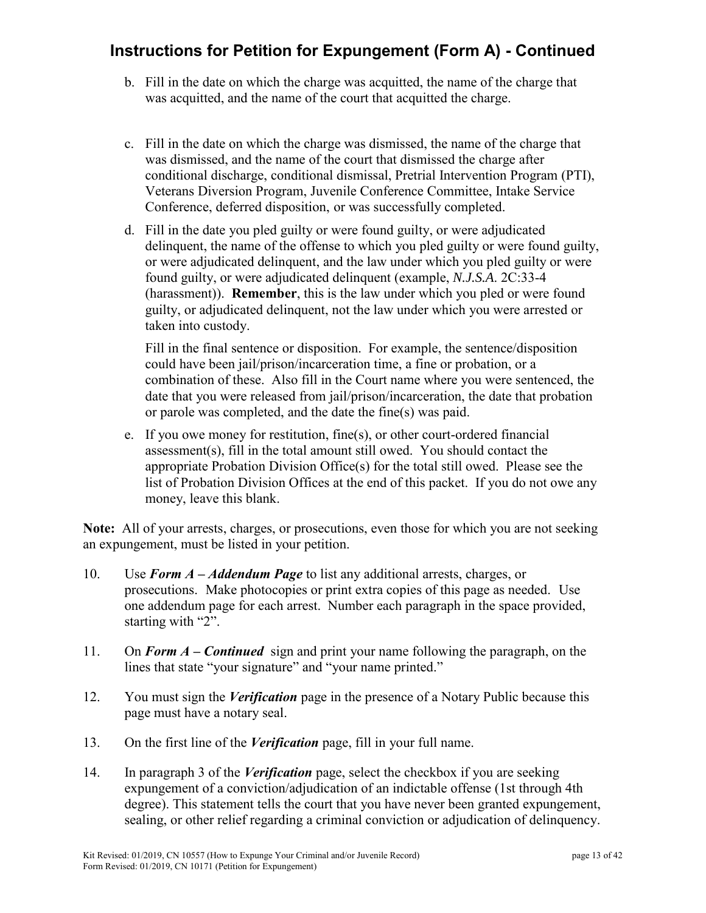# **Instructions for Petition for Expungement (Form A) - Continued**

- b. Fill in the date on which the charge was acquitted, the name of the charge that was acquitted, and the name of the court that acquitted the charge.
- c. Fill in the date on which the charge was dismissed, the name of the charge that was dismissed, and the name of the court that dismissed the charge after conditional discharge, conditional dismissal, Pretrial Intervention Program (PTI), Veterans Diversion Program, Juvenile Conference Committee, Intake Service Conference, deferred disposition, or was successfully completed.
- d. Fill in the date you pled guilty or were found guilty, or were adjudicated delinquent, the name of the offense to which you pled guilty or were found guilty, or were adjudicated delinquent, and the law under which you pled guilty or were found guilty, or were adjudicated delinquent (example, *N.J.S.A*. 2C:33-4 (harassment)). **Remember**, this is the law under which you pled or were found guilty, or adjudicated delinquent, not the law under which you were arrested or taken into custody.

Fill in the final sentence or disposition. For example, the sentence/disposition could have been jail/prison/incarceration time, a fine or probation, or a combination of these. Also fill in the Court name where you were sentenced, the date that you were released from jail/prison/incarceration, the date that probation or parole was completed, and the date the fine(s) was paid.

e. If you owe money for restitution, fine(s), or other court-ordered financial assessment(s), fill in the total amount still owed. You should contact the appropriate Probation Division Office(s) for the total still owed. Please see the list of Probation Division Offices at the end of this packet. If you do not owe any money, leave this blank.

**Note:** All of your arrests, charges, or prosecutions, even those for which you are not seeking an expungement, must be listed in your petition.

- 10. Use *Form A – Addendum Page* to list any additional arrests, charges, or prosecutions. Make photocopies or print extra copies of this page as needed. Use one addendum page for each arrest. Number each paragraph in the space provided, starting with "2".
- 11. On *Form A – Continued* sign and print your name following the paragraph, on the lines that state "your signature" and "your name printed."
- 12. You must sign the *Verification* page in the presence of a Notary Public because this page must have a notary seal.
- 13. On the first line of the *Verification* page, fill in your full name.
- 14. In paragraph 3 of the *Verification* page, select the checkbox if you are seeking expungement of a conviction/adjudication of an indictable offense (1st through 4th degree). This statement tells the court that you have never been granted expungement, sealing, or other relief regarding a criminal conviction or adjudication of delinquency.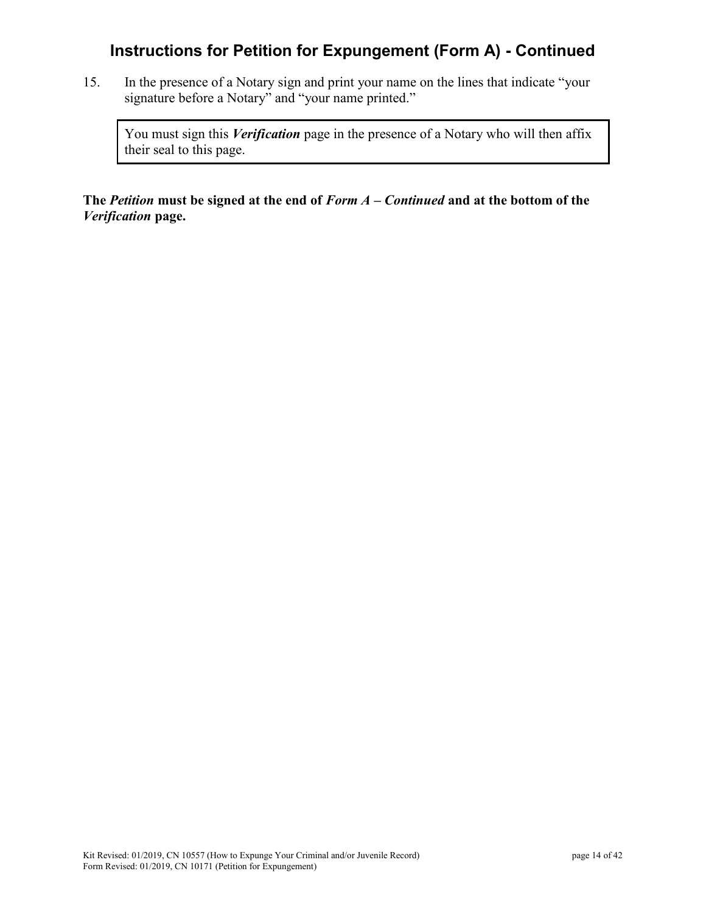# **Instructions for Petition for Expungement (Form A) - Continued**

15. In the presence of a Notary sign and print your name on the lines that indicate "your signature before a Notary" and "your name printed."

You must sign this *Verification* page in the presence of a Notary who will then affix their seal to this page.

**The** *Petition* **must be signed at the end of** *Form A – Continued* **and at the bottom of the**  *Verification* **page.**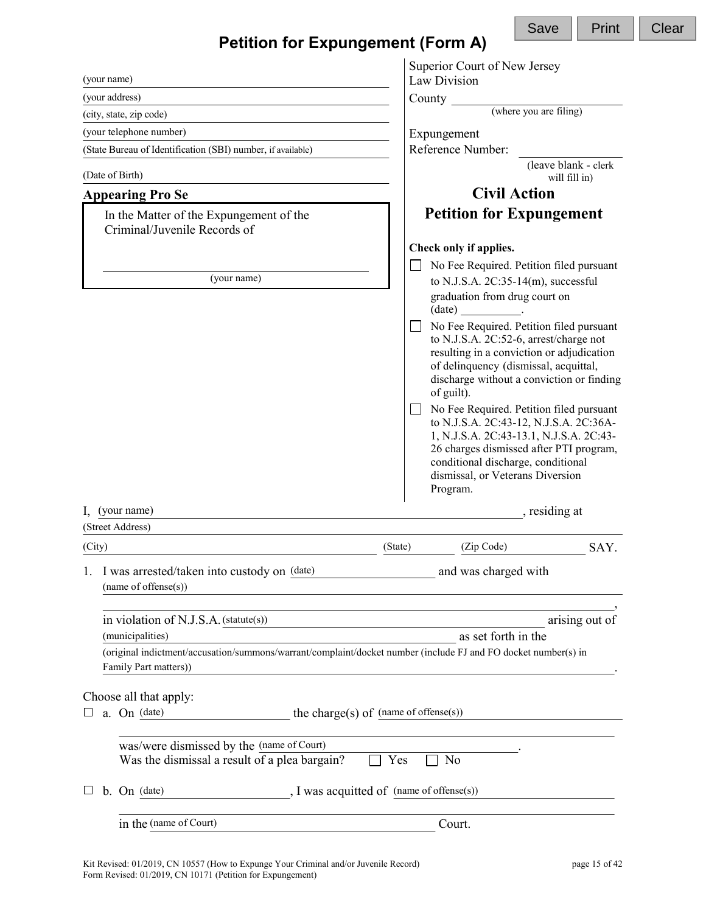| <b>Petition for Expungement (Form A)</b>                                                                                                |                                       |                                                                                                                                                                                                                                                                | Save                   | Print          |
|-----------------------------------------------------------------------------------------------------------------------------------------|---------------------------------------|----------------------------------------------------------------------------------------------------------------------------------------------------------------------------------------------------------------------------------------------------------------|------------------------|----------------|
|                                                                                                                                         |                                       | Superior Court of New Jersey                                                                                                                                                                                                                                   |                        |                |
| (your name)<br>(your address)                                                                                                           |                                       | Law Division                                                                                                                                                                                                                                                   |                        |                |
| (city, state, zip code)                                                                                                                 | County $\frac{\ }{\ }$                |                                                                                                                                                                                                                                                                | (where you are filing) |                |
| (your telephone number)                                                                                                                 |                                       | Expungement                                                                                                                                                                                                                                                    |                        |                |
| (State Bureau of Identification (SBI) number, if available)                                                                             |                                       | Reference Number:                                                                                                                                                                                                                                              |                        |                |
|                                                                                                                                         |                                       |                                                                                                                                                                                                                                                                | (leave blank - clerk   |                |
| (Date of Birth)                                                                                                                         |                                       |                                                                                                                                                                                                                                                                | will fill in)          |                |
| <b>Appearing Pro Se</b>                                                                                                                 |                                       | <b>Civil Action</b>                                                                                                                                                                                                                                            |                        |                |
| In the Matter of the Expungement of the<br>Criminal/Juvenile Records of                                                                 |                                       | <b>Petition for Expungement</b>                                                                                                                                                                                                                                |                        |                |
|                                                                                                                                         |                                       | Check only if applies.                                                                                                                                                                                                                                         |                        |                |
| (your name)                                                                                                                             |                                       | No Fee Required. Petition filed pursuant<br>to N.J.S.A. $2C:35-14(m)$ , successful                                                                                                                                                                             |                        |                |
|                                                                                                                                         |                                       | graduation from drug court on                                                                                                                                                                                                                                  |                        |                |
|                                                                                                                                         |                                       | $(data)$ _______________.                                                                                                                                                                                                                                      |                        |                |
|                                                                                                                                         |                                       | No Fee Required. Petition filed pursuant<br>to N.J.S.A. 2C:52-6, arrest/charge not<br>resulting in a conviction or adjudication<br>of delinquency (dismissal, acquittal,<br>discharge without a conviction or finding<br>of guilt).                            |                        |                |
|                                                                                                                                         |                                       | No Fee Required. Petition filed pursuant<br>to N.J.S.A. 2C:43-12, N.J.S.A. 2C:36A-<br>1, N.J.S.A. 2C:43-13.1, N.J.S.A. 2C:43-<br>26 charges dismissed after PTI program,<br>conditional discharge, conditional<br>dismissal, or Veterans Diversion<br>Program. |                        |                |
| $\mathbf{I}$ , (your name)                                                                                                              |                                       |                                                                                                                                                                                                                                                                | , residing at          |                |
| (Street Address)                                                                                                                        |                                       |                                                                                                                                                                                                                                                                |                        |                |
| (City)                                                                                                                                  | (State)                               | (Zip Code)                                                                                                                                                                                                                                                     |                        | SAY.           |
| I was arrested/taken into custody on (date)<br>1.<br>(name of offense(s))                                                               |                                       | and was charged with                                                                                                                                                                                                                                           |                        |                |
| in violation of N.J.S.A. (statute(s))                                                                                                   |                                       |                                                                                                                                                                                                                                                                |                        | arising out of |
| <u> 1989 - Johann Barbara, martxa alemaniar arg</u><br>(municipalities)                                                                 |                                       | as set forth in the                                                                                                                                                                                                                                            |                        |                |
| (original indictment/accusation/summons/warrant/complaint/docket number (include FJ and FO docket number(s) in<br>Family Part matters)) |                                       |                                                                                                                                                                                                                                                                |                        |                |
|                                                                                                                                         |                                       |                                                                                                                                                                                                                                                                |                        |                |
| Choose all that apply:<br>a. On (date)<br>ப                                                                                             | the charge(s) of (name of offense(s)) |                                                                                                                                                                                                                                                                |                        |                |
|                                                                                                                                         |                                       |                                                                                                                                                                                                                                                                |                        |                |
| was/were dismissed by the (name of Court)<br>Was the dismissal a result of a plea bargain?                                              | Yes                                   | N <sub>o</sub>                                                                                                                                                                                                                                                 |                        |                |
| J was acquitted of (name of offense(s))<br>$On$ (date)<br>b.                                                                            |                                       |                                                                                                                                                                                                                                                                |                        |                |
| in the (name of Court)                                                                                                                  |                                       | Court.                                                                                                                                                                                                                                                         |                        |                |
|                                                                                                                                         |                                       |                                                                                                                                                                                                                                                                |                        |                |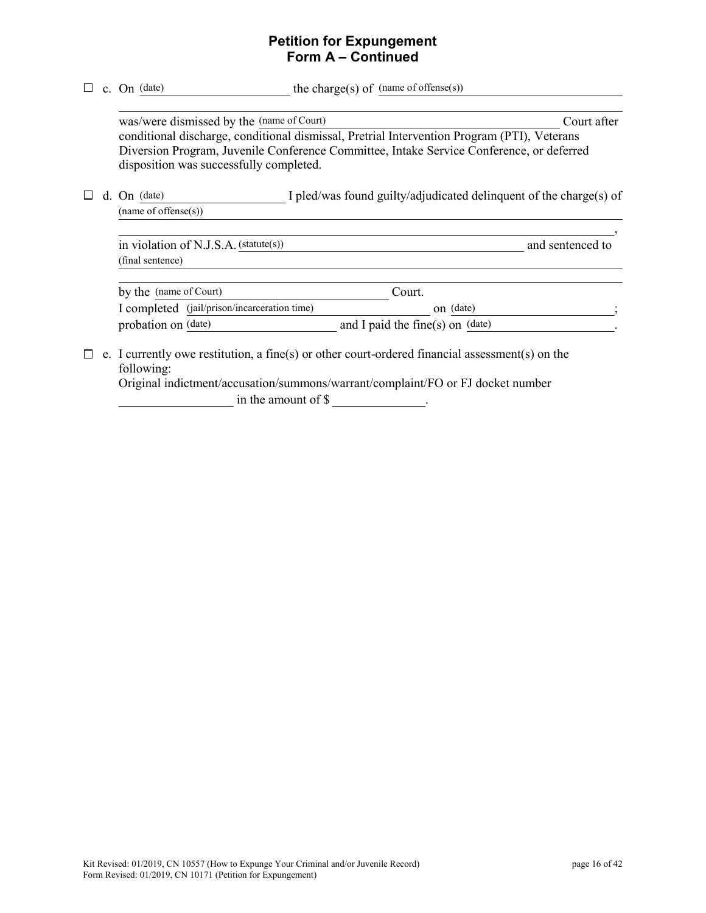# **Petition for Expungement Form A – Continued**

|  | c. On (date)                                                                         | the charge(s) of $(name of of fense(s))$                                                                                                                                                |             |
|--|--------------------------------------------------------------------------------------|-----------------------------------------------------------------------------------------------------------------------------------------------------------------------------------------|-------------|
|  | was/were dismissed by the (name of Court)<br>disposition was successfully completed. | conditional discharge, conditional dismissal, Pretrial Intervention Program (PTI), Veterans<br>Diversion Program, Juvenile Conference Committee, Intake Service Conference, or deferred | Court after |
|  | d. On (date)<br>(name of of f.))                                                     | I pled/was found guilty/adjudicated delinquent of the charge(s) of                                                                                                                      |             |
|  | in violation of N.J.S.A. (statute(s))<br>(final sentence)                            | and sentenced to                                                                                                                                                                        |             |
|  | by the (name of Court)                                                               | Court.                                                                                                                                                                                  |             |
|  | I completed (jail/prison/incarceration time)                                         | on (date)                                                                                                                                                                               |             |
|  | probation on (date)                                                                  | and I paid the fine(s) on $(data)$                                                                                                                                                      |             |
|  | following:                                                                           | e. I currently owe restitution, a fine(s) or other court-ordered financial assessment(s) on the<br>Original indictment/accusation/summons/warrant/complaint/FO or FJ docket number      |             |

in the amount of \$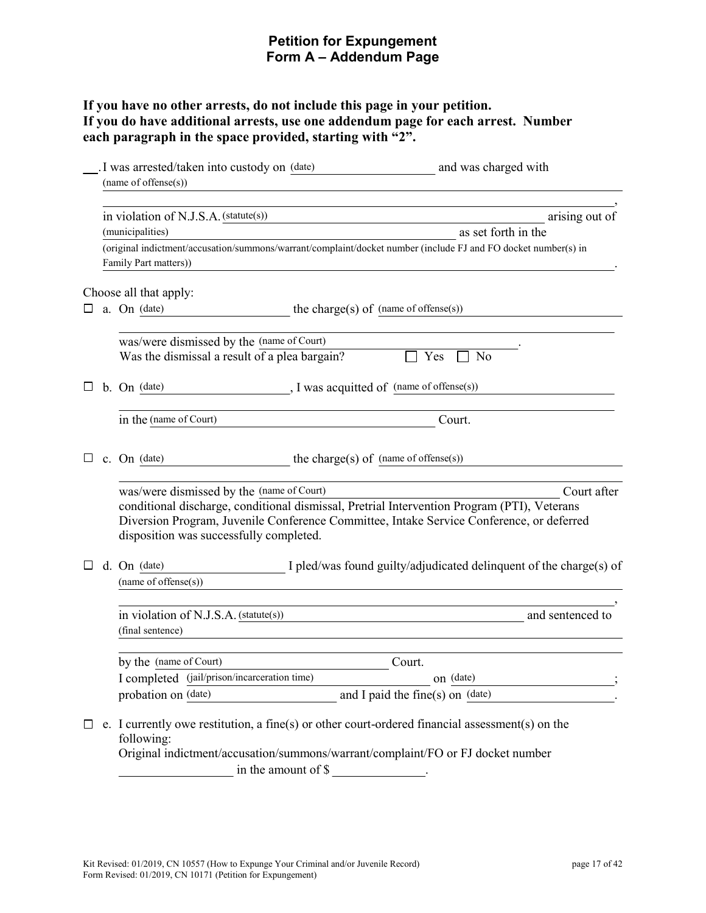# **Petition for Expungement Form A – Addendum Page**

# **If you have no other arrests, do not include this page in your petition. If you do have additional arrests, use one addendum page for each arrest. Number each paragraph in the space provided, starting with "2".**

|   |                                       | I was arrested/taken into custody on (date)<br>(name of offense(s))                        | and was charged with                                                                                                                                                                                   |
|---|---------------------------------------|--------------------------------------------------------------------------------------------|--------------------------------------------------------------------------------------------------------------------------------------------------------------------------------------------------------|
|   |                                       |                                                                                            |                                                                                                                                                                                                        |
|   | in violation of N.J.S.A. (statute(s)) |                                                                                            | arising out of                                                                                                                                                                                         |
|   |                                       | (municipalities)                                                                           | as set forth in the                                                                                                                                                                                    |
|   |                                       | Family Part matters))                                                                      | (original indictment/accusation/summons/warrant/complaint/docket number (include FJ and FO docket number(s) in                                                                                         |
|   |                                       | Choose all that apply:                                                                     |                                                                                                                                                                                                        |
| ப |                                       | a. On (date)                                                                               | the charge(s) of (name of offense(s))                                                                                                                                                                  |
|   |                                       | was/were dismissed by the (name of Court)<br>Was the dismissal a result of a plea bargain? | Yes<br>No                                                                                                                                                                                              |
|   |                                       | b. On (date)                                                                               | ., I was acquitted of (name of offense(s))                                                                                                                                                             |
|   |                                       | in the (name of Court)                                                                     | Court.                                                                                                                                                                                                 |
|   |                                       | c. On (date)                                                                               | the charge(s) of $(name of of fense(s))$                                                                                                                                                               |
|   |                                       | was/were dismissed by the (name of Court)<br>disposition was successfully completed.       | Court after<br>conditional discharge, conditional dismissal, Pretrial Intervention Program (PTI), Veterans<br>Diversion Program, Juvenile Conference Committee, Intake Service Conference, or deferred |
| ப |                                       | d. On (date)<br>(name of offense(s))                                                       | I pled/was found guilty/adjudicated delinquent of the charge(s) of                                                                                                                                     |
|   |                                       | in violation of N.J.S.A. (statute(s))<br>(final sentence)                                  | and sentenced to                                                                                                                                                                                       |
|   |                                       | by the (name of Court)                                                                     | Court.                                                                                                                                                                                                 |
|   |                                       | I completed (jail/prison/incarceration time)                                               | on (date)                                                                                                                                                                                              |
|   |                                       | probation on (date)                                                                        | and I paid the fine(s) on (date)                                                                                                                                                                       |
| ப |                                       | following:<br>in the amount of \$                                                          | e. I currently owe restitution, a fine(s) or other court-ordered financial assessment(s) on the<br>Original indictment/accusation/summons/warrant/complaint/FO or FJ docket number                     |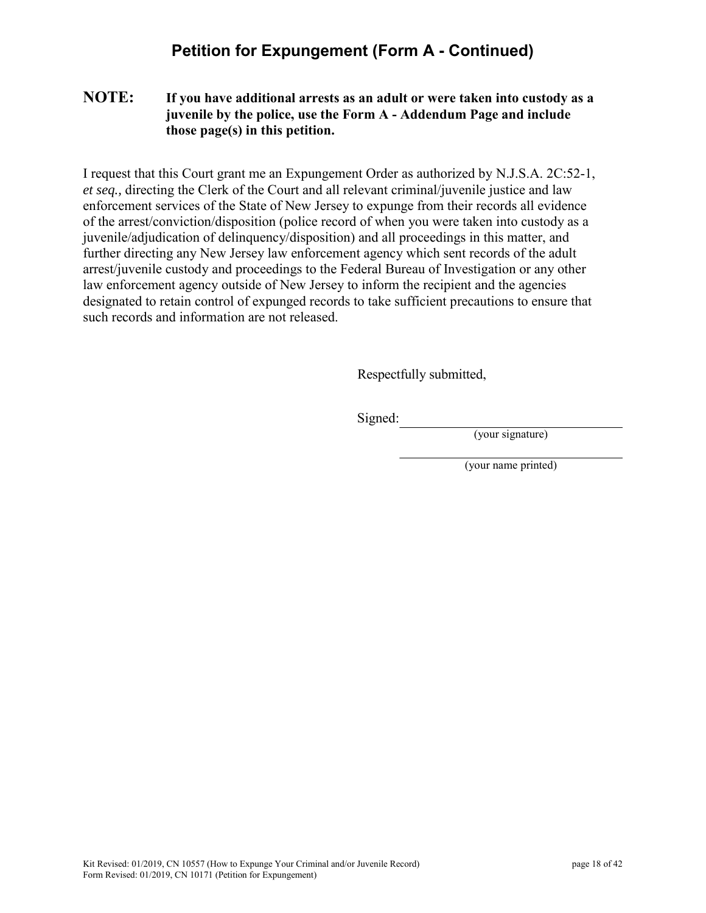# **Petition for Expungement (Form A - Continued)**

### **NOTE: If you have additional arrests as an adult or were taken into custody as a juvenile by the police, use the Form A - Addendum Page and include those page(s) in this petition.**

I request that this Court grant me an Expungement Order as authorized by N.J.S.A. 2C:52-1, *et seq.,* directing the Clerk of the Court and all relevant criminal/juvenile justice and law enforcement services of the State of New Jersey to expunge from their records all evidence of the arrest/conviction/disposition (police record of when you were taken into custody as a juvenile/adjudication of delinquency/disposition) and all proceedings in this matter, and further directing any New Jersey law enforcement agency which sent records of the adult arrest/juvenile custody and proceedings to the Federal Bureau of Investigation or any other law enforcement agency outside of New Jersey to inform the recipient and the agencies designated to retain control of expunged records to take sufficient precautions to ensure that such records and information are not released.

Respectfully submitted,

Signed:

(your signature)

(your name printed)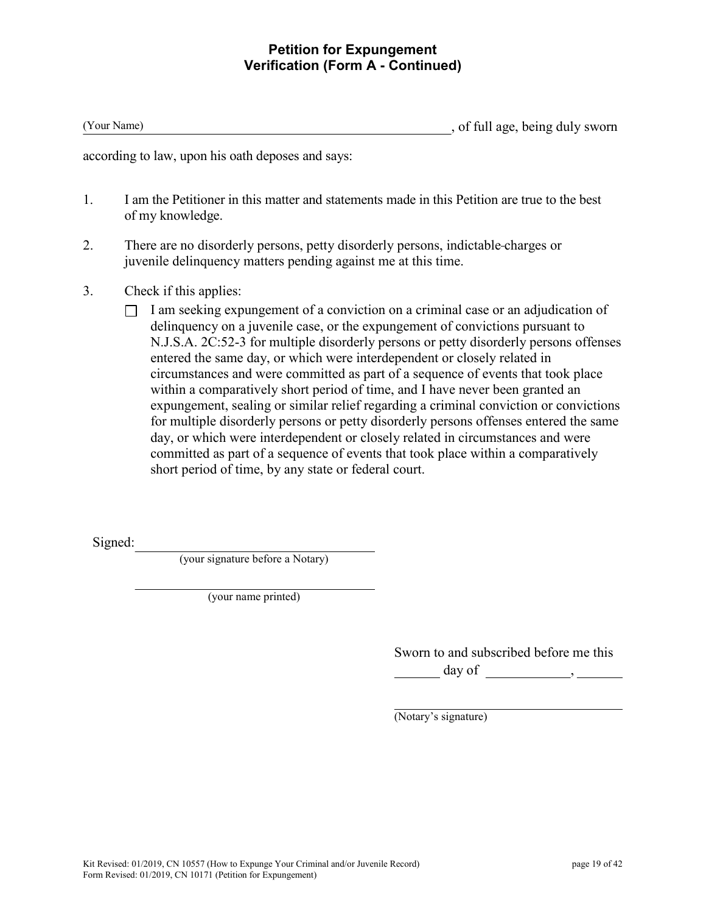### **Petition for Expungement Verification (Form A - Continued)**

(Your Name) , of full age, being duly sworn

according to law, upon his oath deposes and says:

- 1. I am the Petitioner in this matter and statements made in this Petition are true to the best of my knowledge.
- 2. There are no disorderly persons, petty disorderly persons, indictable charges or juvenile delinquency matters pending against me at this time.
- 3. Check if this applies:
	- $\Box$  I am seeking expungement of a conviction on a criminal case or an adjudication of delinquency on a juvenile case, or the expungement of convictions pursuant to N.J.S.A. 2C:52-3 for multiple disorderly persons or petty disorderly persons offenses entered the same day, or which were interdependent or closely related in circumstances and were committed as part of a sequence of events that took place within a comparatively short period of time, and I have never been granted an expungement, sealing or similar relief regarding a criminal conviction or convictions for multiple disorderly persons or petty disorderly persons offenses entered the same day, or which were interdependent or closely related in circumstances and were committed as part of a sequence of events that took place within a comparatively short period of time, by any state or federal court.

Signed:

(your signature before a Notary)

(your name printed)

Sworn to and subscribed before me this day of  $\qquad \qquad , \qquad$ 

(Notary's signature)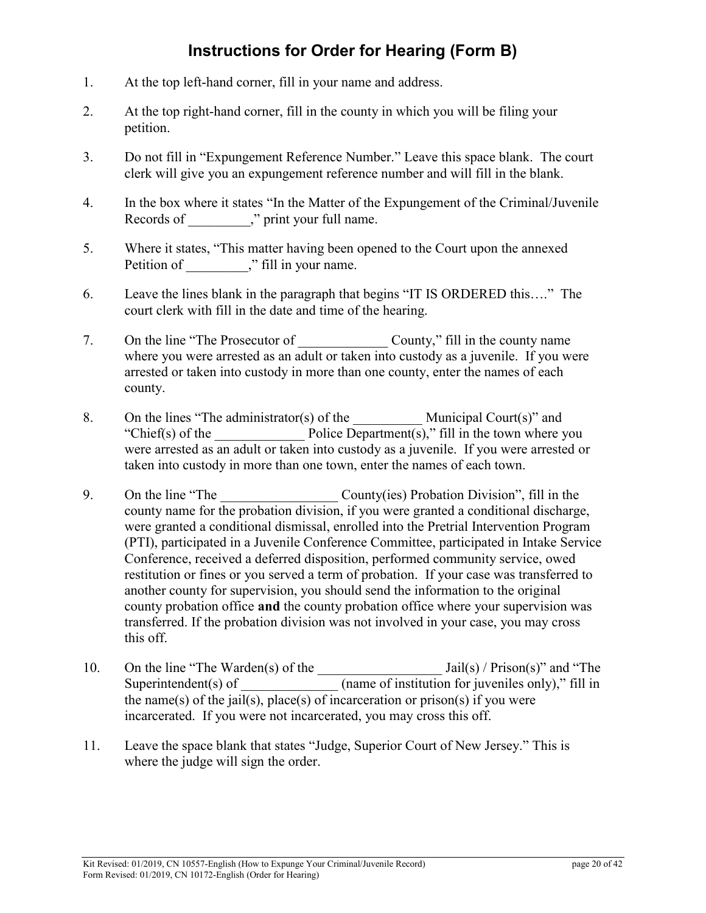# **Instructions for Order for Hearing (Form B)**

- 1. At the top left-hand corner, fill in your name and address.
- 2. At the top right-hand corner, fill in the county in which you will be filing your petition.
- 3. Do not fill in "Expungement Reference Number." Leave this space blank. The court clerk will give you an expungement reference number and will fill in the blank.
- 4. In the box where it states "In the Matter of the Expungement of the Criminal/Juvenile Records of  $\ddot{\hspace{1cm}}$ ," print your full name.
- 5. Where it states, "This matter having been opened to the Court upon the annexed Petition of \_\_\_\_\_\_\_\_," fill in your name.
- 6. Leave the lines blank in the paragraph that begins "IT IS ORDERED this…." The court clerk with fill in the date and time of the hearing.
- 7. On the line "The Prosecutor of \_\_\_\_\_\_\_\_\_\_\_\_\_\_\_ County," fill in the county name where you were arrested as an adult or taken into custody as a juvenile. If you were arrested or taken into custody in more than one county, enter the names of each county.
- 8. On the lines "The administrator(s) of the  $\mu$  Municipal Court(s)" and "Chief(s) of the  $Police Department(s)$ ," fill in the town where you were arrested as an adult or taken into custody as a juvenile. If you were arrested or taken into custody in more than one town, enter the names of each town.
- 9. On the line "The County(ies) Probation Division", fill in the county name for the probation division, if you were granted a conditional discharge, were granted a conditional dismissal, enrolled into the Pretrial Intervention Program (PTI), participated in a Juvenile Conference Committee, participated in Intake Service Conference, received a deferred disposition, performed community service, owed restitution or fines or you served a term of probation. If your case was transferred to another county for supervision, you should send the information to the original county probation office **and** the county probation office where your supervision was transferred. If the probation division was not involved in your case, you may cross this off.
- 10. On the line "The Warden(s) of the \_\_\_\_\_\_\_\_\_\_\_\_\_\_\_\_\_\_ Jail(s) / Prison(s)" and "The Superintendent(s) of  $\frac{1}{\sqrt{1-\frac{1}{\sqrt{1-\frac{1}{\sqrt{1-\frac{1}{\sqrt{1-\frac{1}{\sqrt{1-\frac{1}{\sqrt{1-\frac{1}{\sqrt{1-\frac{1}{\sqrt{1-\frac{1}{\sqrt{1-\frac{1}{\sqrt{1-\frac{1}{\sqrt{1-\frac{1}{\sqrt{1-\frac{1}{\sqrt{1-\frac{1}{\sqrt{1-\frac{1}{\sqrt{1-\frac{1}{\sqrt{1-\frac{1}{\sqrt{1-\frac{1}{\sqrt{1-\frac{1}{\sqrt{1-\frac{1}{\sqrt{1-\frac{1}{\sqrt{1-\frac{1}{\sqrt{1-\$ the name(s) of the jail(s), place(s) of incarceration or prison(s) if you were incarcerated. If you were not incarcerated, you may cross this off.
- 11. Leave the space blank that states "Judge, Superior Court of New Jersey." This is where the judge will sign the order.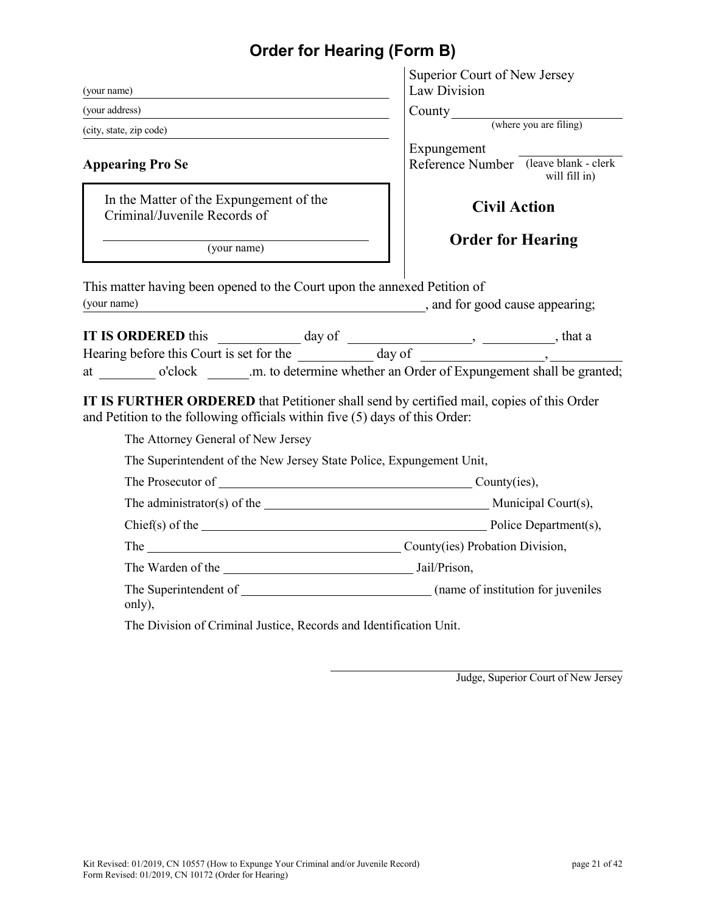# **Order for Hearing (Form B)**

|                                                                                                                                                                                                                            | Superior Court of New Jersey                                          |
|----------------------------------------------------------------------------------------------------------------------------------------------------------------------------------------------------------------------------|-----------------------------------------------------------------------|
| (your name)                                                                                                                                                                                                                | Law Division                                                          |
| (your address)                                                                                                                                                                                                             | County<br>(where you are filing)                                      |
| (city, state, zip code)                                                                                                                                                                                                    |                                                                       |
| <b>Appearing Pro Se</b>                                                                                                                                                                                                    | Expungement<br>Reference Number (leave blank - clerk<br>will fill in) |
| In the Matter of the Expungement of the<br>Criminal/Juvenile Records of                                                                                                                                                    | <b>Civil Action</b>                                                   |
| (your name)                                                                                                                                                                                                                | <b>Order for Hearing</b>                                              |
| This matter having been opened to the Court upon the annexed Petition of<br>(your name)<br>and for good cause appearing;                                                                                                   |                                                                       |
| IT IS ORDERED this day of day of the day of the day of the day of the day of the day of the day of the day of the day of the day of the day of the day of the day of the day of the day of $\frac{1}{\sqrt{1-\frac{1}{n}}$ |                                                                       |
|                                                                                                                                                                                                                            |                                                                       |
| at o'clock .m. to determine whether an Order of Expungement shall be granted;                                                                                                                                              |                                                                       |
| IT IS FURTHER ORDERED that Petitioner shall send by certified mail, copies of this Order<br>and Petition to the following officials within five (5) days of this Order:                                                    |                                                                       |
| The Attorney General of New Jersey                                                                                                                                                                                         |                                                                       |
| The Superintendent of the New Jersey State Police, Expungement Unit,                                                                                                                                                       |                                                                       |
| The Prosecutor of County (ies),                                                                                                                                                                                            |                                                                       |
|                                                                                                                                                                                                                            |                                                                       |
|                                                                                                                                                                                                                            |                                                                       |
| The County(ies) Probation Division,                                                                                                                                                                                        |                                                                       |
| The Warden of the 1990 and 1990 and 1990 and 1990 and 1990 and 1990 and 1990 and 1990 and 1990 and 1990 and 19                                                                                                             |                                                                       |
| only),                                                                                                                                                                                                                     |                                                                       |
| The Division of Criminal Justice, Records and Identification Unit.                                                                                                                                                         |                                                                       |

Judge, Superior Court of New Jersey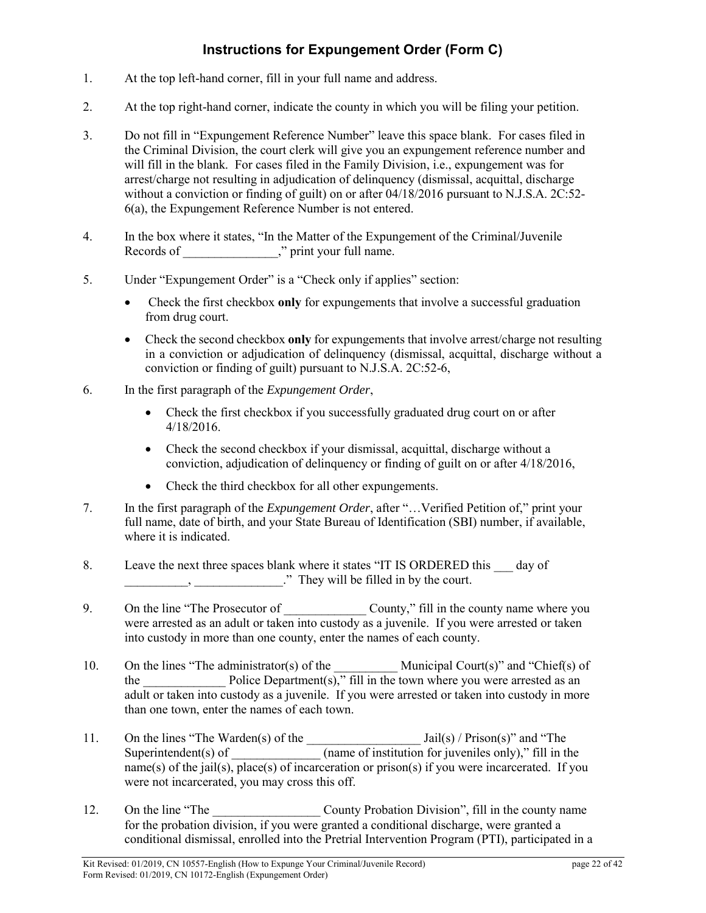# **Instructions for Expungement Order (Form C)**

- 1. At the top left-hand corner, fill in your full name and address.
- 2. At the top right-hand corner, indicate the county in which you will be filing your petition.
- 3. Do not fill in "Expungement Reference Number" leave this space blank. For cases filed in the Criminal Division, the court clerk will give you an expungement reference number and will fill in the blank. For cases filed in the Family Division, i.e., expungement was for arrest/charge not resulting in adjudication of delinquency (dismissal, acquittal, discharge without a conviction or finding of guilt) on or after 04/18/2016 pursuant to N.J.S.A. 2C:52-6(a), the Expungement Reference Number is not entered.
- 4. In the box where it states, "In the Matter of the Expungement of the Criminal/Juvenile Records of \_\_\_\_\_\_\_\_\_\_\_\_\_," print your full name.
- 5. Under "Expungement Order" is a "Check only if applies" section:
	- Check the first checkbox **only** for expungements that involve a successful graduation from drug court.
	- Check the second checkbox **only** for expungements that involve arrest/charge not resulting in a conviction or adjudication of delinquency (dismissal, acquittal, discharge without a conviction or finding of guilt) pursuant to N.J.S.A. 2C:52-6,
- 6. In the first paragraph of the *Expungement Order*,
	- Check the first checkbox if you successfully graduated drug court on or after 4/18/2016.
	- Check the second checkbox if your dismissal, acquittal, discharge without a conviction, adjudication of delinquency or finding of guilt on or after 4/18/2016,
	- Check the third checkbox for all other expungements.
- 7. In the first paragraph of the *Expungement Order*, after "…Verified Petition of," print your full name, date of birth, and your State Bureau of Identification (SBI) number, if available, where it is indicated.
- 8. Leave the next three spaces blank where it states "IT IS ORDERED this day of , They will be filled in by the court.
- 9. On the line "The Prosecutor of County," fill in the county name where you were arrested as an adult or taken into custody as a juvenile. If you were arrested or taken into custody in more than one county, enter the names of each county.
- 10. On the lines "The administrator(s) of the \_\_\_\_\_\_\_\_\_\_\_\_ Municipal Court(s)" and "Chief(s) of the Police Department(s)," fill in the town where you were arrested as an adult or taken into custody as a juvenile. If you were arrested or taken into custody in more than one town, enter the names of each town.
- 11. On the lines "The Warden(s) of the \_\_\_\_\_\_\_\_\_\_\_\_\_\_\_\_\_\_ Jail(s) / Prison(s)" and "The Superintendent(s) of  $\qquad \qquad$  (name of institution for juveniles only)," fill in the name(s) of the jail(s), place(s) of incarceration or prison(s) if you were incarcerated. If you were not incarcerated, you may cross this off.
- 12. On the line "The County Probation Division", fill in the county name for the probation division, if you were granted a conditional discharge, were granted a conditional dismissal, enrolled into the Pretrial Intervention Program (PTI), participated in a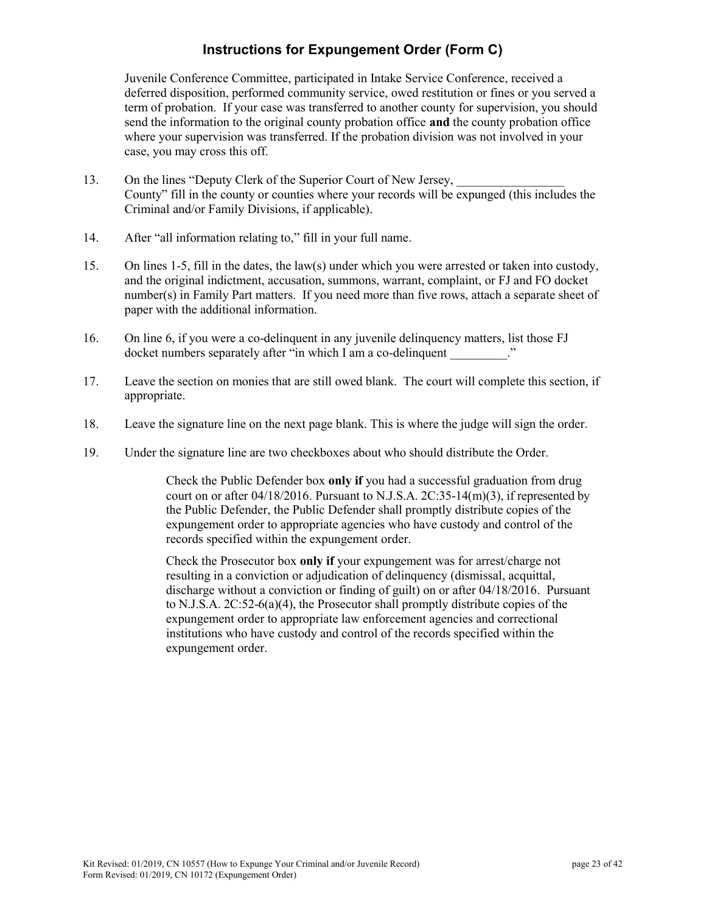# **Instructions for Expungement Order (Form C)**

Juvenile Conference Committee, participated in Intake Service Conference, received a deferred disposition, performed community service, owed restitution or fines or you served a term of probation. If your case was transferred to another county for supervision, you should send the information to the original county probation office **and** the county probation office where your supervision was transferred. If the probation division was not involved in your case, you may cross this off.

- 13. On the lines "Deputy Clerk of the Superior Court of New Jersey, County" fill in the county or counties where your records will be expunged (this includes the Criminal and/or Family Divisions, if applicable).
- 14. After "all information relating to," fill in your full name.
- 15. On lines 1-5, fill in the dates, the law(s) under which you were arrested or taken into custody, and the original indictment, accusation, summons, warrant, complaint, or FJ and FO docket number(s) in Family Part matters. If you need more than five rows, attach a separate sheet of paper with the additional information.
- 16. On line 6, if you were a co-delinquent in any juvenile delinquency matters, list those FJ docket numbers separately after "in which I am a co-delinquent
- 17. Leave the section on monies that are still owed blank. The court will complete this section, if appropriate.
- 18. Leave the signature line on the next page blank. This is where the judge will sign the order.
- 19. Under the signature line are two checkboxes about who should distribute the Order.

Check the Public Defender box **only if** you had a successful graduation from drug court on or after 04/18/2016. Pursuant to N.J.S.A. 2C:35-14(m)(3), if represented by the Public Defender, the Public Defender shall promptly distribute copies of the expungement order to appropriate agencies who have custody and control of the records specified within the expungement order.

Check the Prosecutor box **only if** your expungement was for arrest/charge not resulting in a conviction or adjudication of delinquency (dismissal, acquittal, discharge without a conviction or finding of guilt) on or after 04/18/2016. Pursuant to N.J.S.A. 2C:52-6(a)(4), the Prosecutor shall promptly distribute copies of the expungement order to appropriate law enforcement agencies and correctional institutions who have custody and control of the records specified within the expungement order.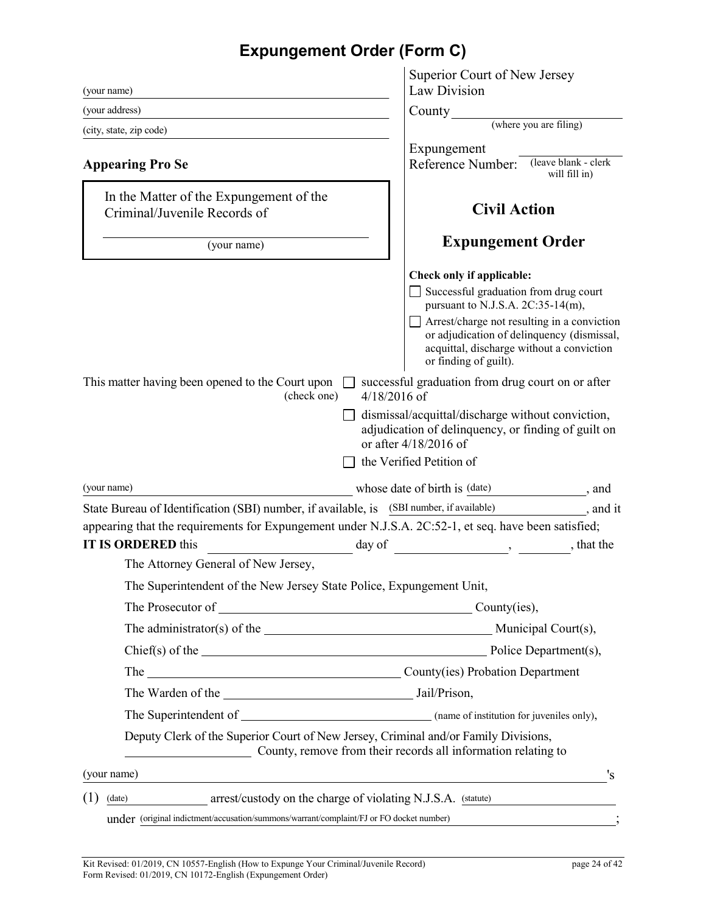# **Expungement Order (Form C)**

| (your name)                                                                                          | Superior Court of New Jersey<br>Law Division                                                                                                                                                                                                                                                                                                                                                                                      |
|------------------------------------------------------------------------------------------------------|-----------------------------------------------------------------------------------------------------------------------------------------------------------------------------------------------------------------------------------------------------------------------------------------------------------------------------------------------------------------------------------------------------------------------------------|
| (your address)                                                                                       | County                                                                                                                                                                                                                                                                                                                                                                                                                            |
| (city, state, zip code)                                                                              | (where you are filing)                                                                                                                                                                                                                                                                                                                                                                                                            |
|                                                                                                      | Expungement                                                                                                                                                                                                                                                                                                                                                                                                                       |
| <b>Appearing Pro Se</b>                                                                              | (leave blank - clerk<br>Reference Number:<br>will fill in)                                                                                                                                                                                                                                                                                                                                                                        |
| In the Matter of the Expungement of the<br>Criminal/Juvenile Records of                              | <b>Civil Action</b>                                                                                                                                                                                                                                                                                                                                                                                                               |
| (your name)                                                                                          | <b>Expungement Order</b>                                                                                                                                                                                                                                                                                                                                                                                                          |
|                                                                                                      | Check only if applicable:<br>Successful graduation from drug court<br>pursuant to N.J.S.A. 2C:35-14(m),<br>Arrest/charge not resulting in a conviction<br>or adjudication of delinquency (dismissal,                                                                                                                                                                                                                              |
|                                                                                                      | acquittal, discharge without a conviction<br>or finding of guilt).                                                                                                                                                                                                                                                                                                                                                                |
| This matter having been opened to the Court upon<br>(check one)<br>$4/18/2016$ of                    | successful graduation from drug court on or after                                                                                                                                                                                                                                                                                                                                                                                 |
|                                                                                                      | dismissal/acquittal/discharge without conviction,<br>adjudication of delinquency, or finding of guilt on<br>or after 4/18/2016 of                                                                                                                                                                                                                                                                                                 |
|                                                                                                      | the Verified Petition of                                                                                                                                                                                                                                                                                                                                                                                                          |
| (your name)                                                                                          | whose date of birth is (date)<br>$\frac{1}{\sqrt{1-\frac{1}{2}}}\,$ , and                                                                                                                                                                                                                                                                                                                                                         |
| State Bureau of Identification (SBI) number, if available, is (SBI number, if available)             | $\frac{1}{\sqrt{1-\frac{1}{\sqrt{1-\frac{1}{\sqrt{1-\frac{1}{\sqrt{1-\frac{1}{\sqrt{1-\frac{1}{\sqrt{1-\frac{1}{\sqrt{1-\frac{1}{\sqrt{1-\frac{1}{\sqrt{1-\frac{1}{\sqrt{1-\frac{1}{\sqrt{1-\frac{1}{\sqrt{1-\frac{1}{\sqrt{1-\frac{1}{\sqrt{1-\frac{1}{\sqrt{1-\frac{1}{\sqrt{1-\frac{1}{\sqrt{1-\frac{1}{\sqrt{1-\frac{1}{\sqrt{1-\frac{1}{\sqrt{1-\frac{1}{\sqrt{1-\frac{1}{\sqrt{1-\frac{1}{\sqrt{1-\frac{1}{\sqrt{1-\frac{1$ |
| appearing that the requirements for Expungement under N.J.S.A. 2C:52-1, et seq. have been satisfied; |                                                                                                                                                                                                                                                                                                                                                                                                                                   |
| <b>IT IS ORDERED this</b><br>day of                                                                  | , that the                                                                                                                                                                                                                                                                                                                                                                                                                        |
| The Attorney General of New Jersey,                                                                  |                                                                                                                                                                                                                                                                                                                                                                                                                                   |
| The Superintendent of the New Jersey State Police, Expungement Unit,                                 |                                                                                                                                                                                                                                                                                                                                                                                                                                   |
| The Prosecutor of County (ies),                                                                      |                                                                                                                                                                                                                                                                                                                                                                                                                                   |
| The administrator(s) of the Municipal Court(s),                                                      |                                                                                                                                                                                                                                                                                                                                                                                                                                   |
|                                                                                                      |                                                                                                                                                                                                                                                                                                                                                                                                                                   |
| The County(ies) Probation Department                                                                 |                                                                                                                                                                                                                                                                                                                                                                                                                                   |
|                                                                                                      |                                                                                                                                                                                                                                                                                                                                                                                                                                   |
|                                                                                                      |                                                                                                                                                                                                                                                                                                                                                                                                                                   |
| Deputy Clerk of the Superior Court of New Jersey, Criminal and/or Family Divisions,                  | County, remove from their records all information relating to                                                                                                                                                                                                                                                                                                                                                                     |
| (your name)                                                                                          | 's                                                                                                                                                                                                                                                                                                                                                                                                                                |
|                                                                                                      |                                                                                                                                                                                                                                                                                                                                                                                                                                   |
| (1)<br>arrest/custody on the charge of violating N.J.S.A. (statute)<br>(date)                        |                                                                                                                                                                                                                                                                                                                                                                                                                                   |
| under (original indictment/accusation/summons/warrant/complaint/FJ or FO docket number)              |                                                                                                                                                                                                                                                                                                                                                                                                                                   |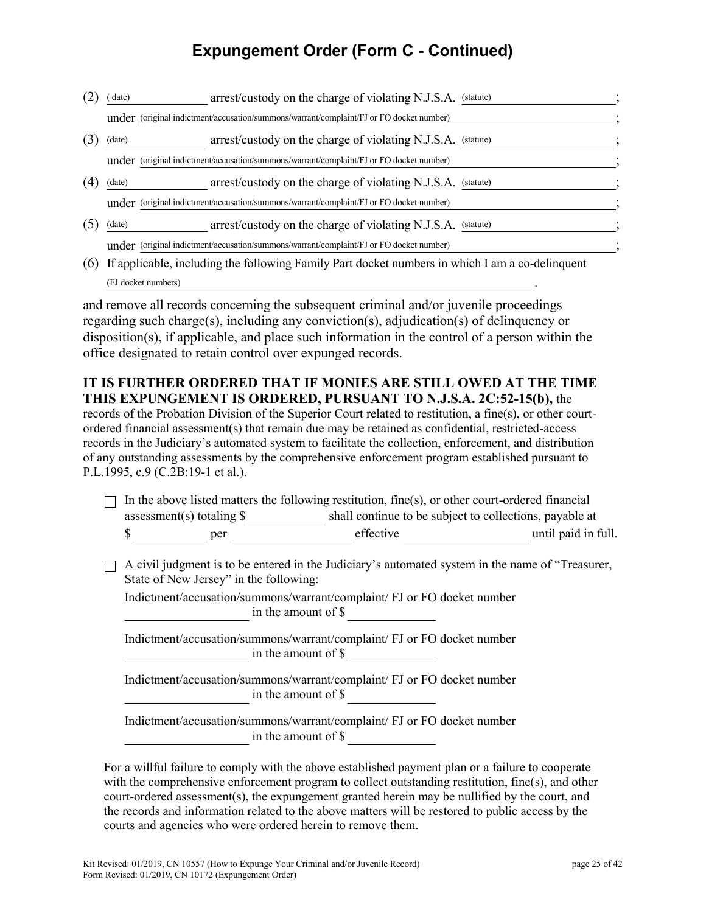# **Expungement Order (Form C - Continued)**

- (2) (date) arrest/custody on the charge of violating N.J.S.A. (statute) under (original indictment/accusation/summons/warrant/complaint/FJ or FO docket number) (3) (date) arrest/custody on the charge of violating N.J.S.A. (statute) under (original indictment/accusation/summons/warrant/complaint/FJ or FO docket number) ; (4) (date) arrest/custody on the charge of violating N.J.S.A. (statute) under (original indictment/accusation/summons/warrant/complaint/FJ or FO docket number) ; (5) (date) arrest/custody on the charge of violating N.J.S.A. (statute) under (original indictment/accusation/summons/warrant/complaint/FJ or FO docket number)
- (6) If applicable, including the following Family Part docket numbers in which I am a co-delinquent (FJ docket numbers) .

and remove all records concerning the subsequent criminal and/or juvenile proceedings regarding such charge(s), including any conviction(s), adjudication(s) of delinquency or disposition(s), if applicable, and place such information in the control of a person within the office designated to retain control over expunged records.

#### **IT IS FURTHER ORDERED THAT IF MONIES ARE STILL OWED AT THE TIME THIS EXPUNGEMENT IS ORDERED, PURSUANT TO N.J.S.A. 2C:52-15(b),** the

records of the Probation Division of the Superior Court related to restitution, a fine(s), or other courtordered financial assessment(s) that remain due may be retained as confidential, restricted-access records in the Judiciary's automated system to facilitate the collection, enforcement, and distribution of any outstanding assessments by the comprehensive enforcement program established pursuant to P.L.1995, c.9 (C.2B:19-1 et al.).

|                                                                                                                                                                                                                                              | assessment(s) totaling $\$ | In the above listed matters the following restitution, fine(s), or other court-ordered financial<br>shall continue to be subject to collections, payable at |                     |
|----------------------------------------------------------------------------------------------------------------------------------------------------------------------------------------------------------------------------------------------|----------------------------|-------------------------------------------------------------------------------------------------------------------------------------------------------------|---------------------|
|                                                                                                                                                                                                                                              | \$<br>per                  | effective                                                                                                                                                   | until paid in full. |
| A civil judgment is to be entered in the Judiciary's automated system in the name of "Treasurer,<br>State of New Jersey" in the following:<br>Indictment/accusation/summons/warrant/complaint/ FJ or FO docket number<br>in the amount of \$ |                            |                                                                                                                                                             |                     |
|                                                                                                                                                                                                                                              |                            |                                                                                                                                                             |                     |
| Indictment/accusation/summons/warrant/complaint/ FJ or FO docket number<br>in the amount of $\$$<br>Indictment/accusation/summons/warrant/complaint/ FJ or FO docket number<br>in the amount of \$                                           |                            |                                                                                                                                                             |                     |
|                                                                                                                                                                                                                                              |                            |                                                                                                                                                             |                     |
|                                                                                                                                                                                                                                              |                            | Indictment/accusation/summons/warrant/complaint/ FJ or FO docket number<br>in the amount of \$                                                              |                     |

For a willful failure to comply with the above established payment plan or a failure to cooperate with the comprehensive enforcement program to collect outstanding restitution, fine(s), and other court-ordered assessment(s), the expungement granted herein may be nullified by the court, and the records and information related to the above matters will be restored to public access by the courts and agencies who were ordered herein to remove them.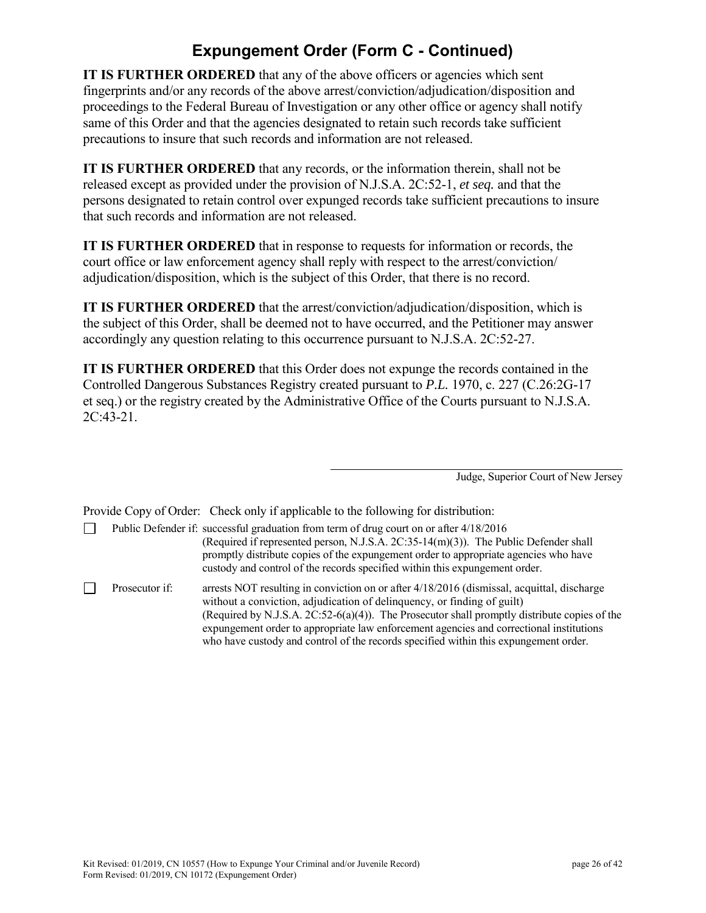# **Expungement Order (Form C - Continued)**

**IT IS FURTHER ORDERED** that any of the above officers or agencies which sent fingerprints and/or any records of the above arrest/conviction/adjudication/disposition and proceedings to the Federal Bureau of Investigation or any other office or agency shall notify same of this Order and that the agencies designated to retain such records take sufficient precautions to insure that such records and information are not released.

**IT IS FURTHER ORDERED** that any records, or the information therein, shall not be released except as provided under the provision of N.J.S.A. 2C:52-1, *et seq.* and that the persons designated to retain control over expunged records take sufficient precautions to insure that such records and information are not released.

**IT IS FURTHER ORDERED** that in response to requests for information or records, the court office or law enforcement agency shall reply with respect to the arrest/conviction/ adjudication/disposition, which is the subject of this Order, that there is no record.

**IT IS FURTHER ORDERED** that the arrest/conviction/adjudication/disposition, which is the subject of this Order, shall be deemed not to have occurred, and the Petitioner may answer accordingly any question relating to this occurrence pursuant to N.J.S.A. 2C:52-27.

**IT IS FURTHER ORDERED** that this Order does not expunge the records contained in the Controlled Dangerous Substances Registry created pursuant to *P.L.* 1970, c. 227 (C.26:2G-17 et seq.) or the registry created by the Administrative Office of the Courts pursuant to N.J.S.A. 2C:43-21.

Judge, Superior Court of New Jersey

Provide Copy of Order: Check only if applicable to the following for distribution:

 $\Box$ Public Defender if: successful graduation from term of drug court on or after 4/18/2016 (Required if represented person, N.J.S.A. 2C:35-14(m)(3)). The Public Defender shall promptly distribute copies of the expungement order to appropriate agencies who have custody and control of the records specified within this expungement order.

 $\Box$ Prosecutor if: arrests NOT resulting in conviction on or after 4/18/2016 (dismissal, acquittal, discharge without a conviction, adjudication of delinquency, or finding of guilt) (Required by N.J.S.A. 2C:52-6(a)(4)). The Prosecutor shall promptly distribute copies of the expungement order to appropriate law enforcement agencies and correctional institutions who have custody and control of the records specified within this expungement order.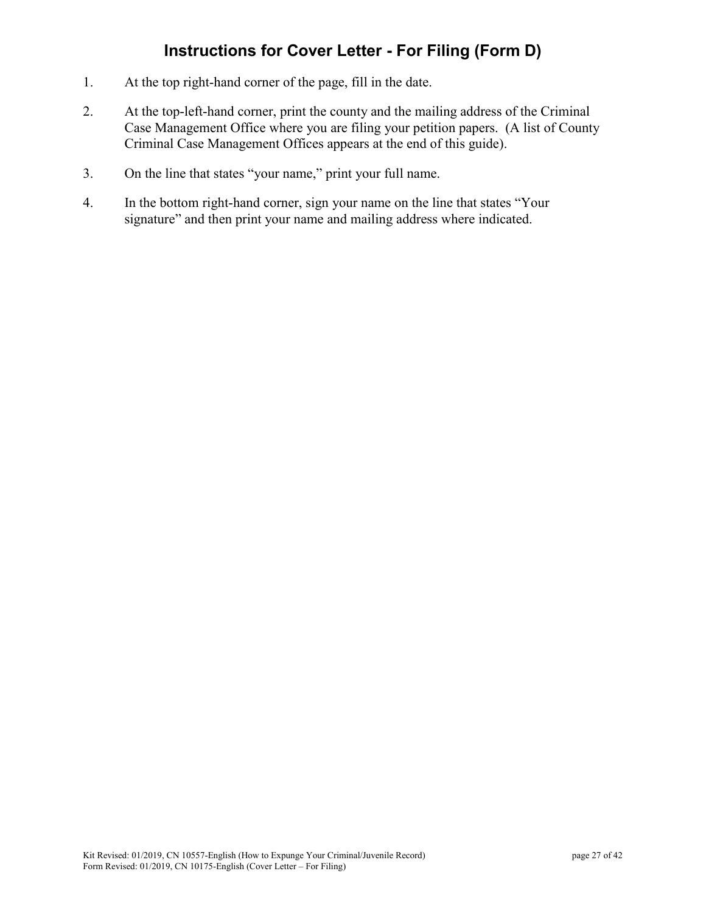# **Instructions for Cover Letter - For Filing (Form D)**

- 1. At the top right-hand corner of the page, fill in the date.
- 2. At the top-left-hand corner, print the county and the mailing address of the Criminal Case Management Office where you are filing your petition papers. (A list of County Criminal Case Management Offices appears at the end of this guide).
- 3. On the line that states "your name," print your full name.
- 4. In the bottom right-hand corner, sign your name on the line that states "Your signature" and then print your name and mailing address where indicated.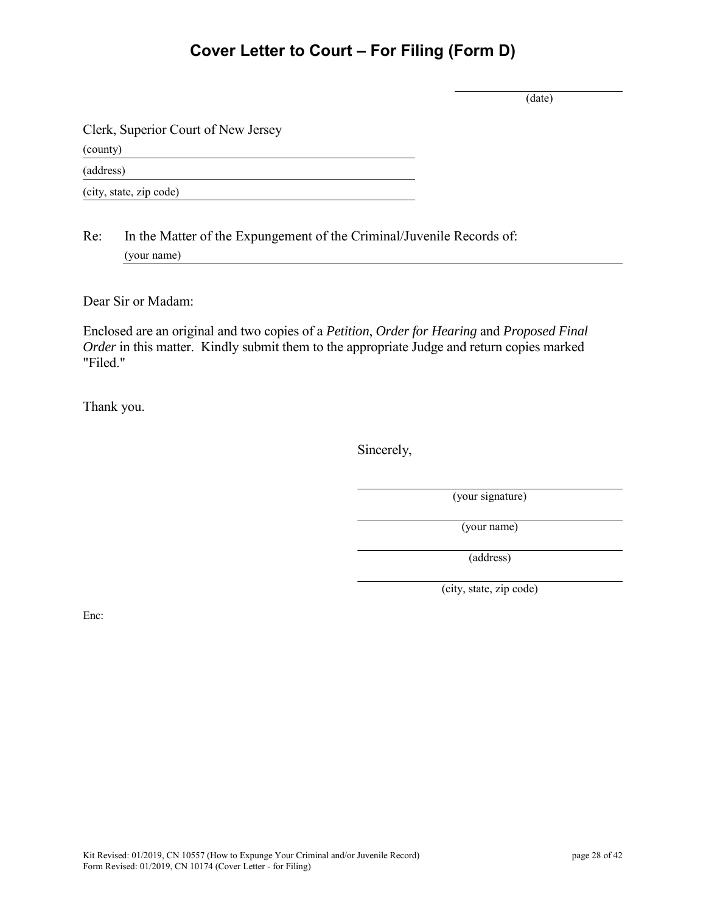# **Cover Letter to Court – For Filing (Form D)**

(date)

Clerk, Superior Court of New Jersey

(county)

(address)

(city, state, zip code)

Re: In the Matter of the Expungement of the Criminal/Juvenile Records of: (your name)

Dear Sir or Madam:

Enclosed are an original and two copies of a *Petition*, *Order for Hearing* and *Proposed Final Order* in this matter. Kindly submit them to the appropriate Judge and return copies marked "Filed."

Thank you.

Sincerely,

(your signature)

(your name)

(address)

(city, state, zip code)

Enc: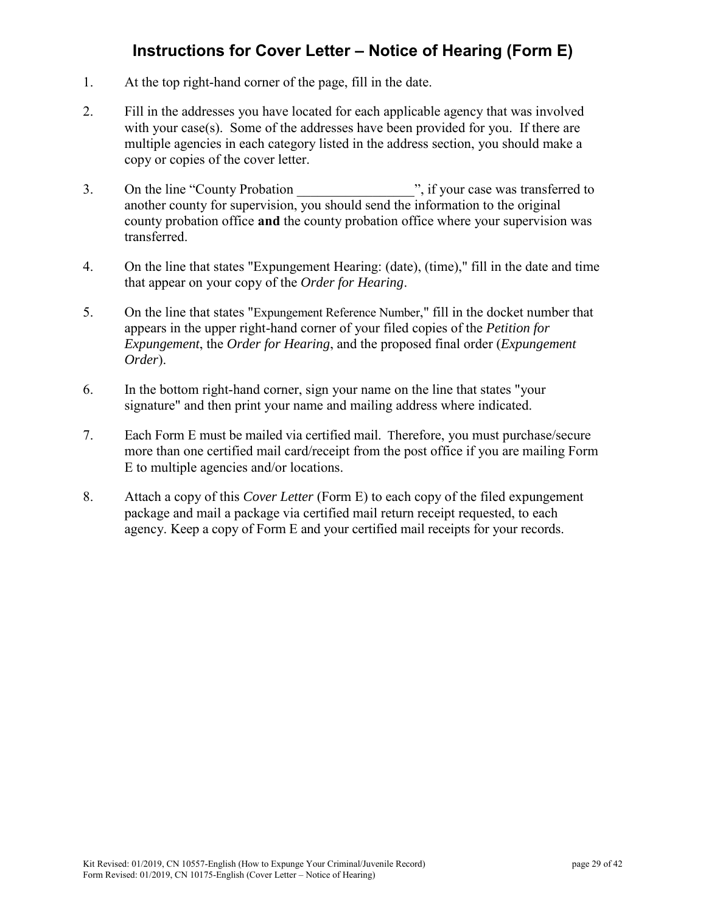# **Instructions for Cover Letter – Notice of Hearing (Form E)**

- 1. At the top right-hand corner of the page, fill in the date.
- 2. Fill in the addresses you have located for each applicable agency that was involved with your case(s). Some of the addresses have been provided for you. If there are multiple agencies in each category listed in the address section, you should make a copy or copies of the cover letter.
- 3. On the line "County Probation", if your case was transferred to another county for supervision, you should send the information to the original county probation office **and** the county probation office where your supervision was transferred.
- 4. On the line that states "Expungement Hearing: (date), (time)," fill in the date and time that appear on your copy of the *Order for Hearing*.
- 5. On the line that states "Expungement Reference Number," fill in the docket number that appears in the upper right-hand corner of your filed copies of the *Petition for Expungement*, the *Order for Hearing*, and the proposed final order (*Expungement Order*).
- 6. In the bottom right-hand corner, sign your name on the line that states "your signature" and then print your name and mailing address where indicated.
- 7. Each Form E must be mailed via certified mail. Therefore, you must purchase/secure more than one certified mail card/receipt from the post office if you are mailing Form E to multiple agencies and/or locations.
- 8. Attach a copy of this *Cover Letter* (Form E) to each copy of the filed expungement package and mail a package via certified mail return receipt requested, to each agency. Keep a copy of Form E and your certified mail receipts for your records.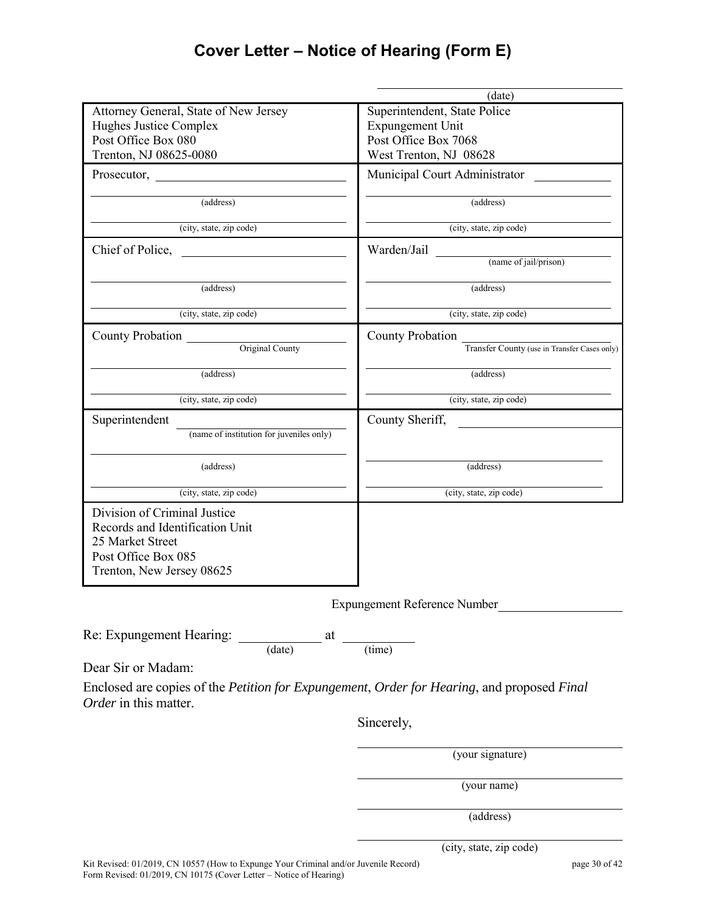# **Cover Letter – Notice of Hearing (Form E)**

|                                                                                            | (date)                                       |  |
|--------------------------------------------------------------------------------------------|----------------------------------------------|--|
| Attorney General, State of New Jersey                                                      | Superintendent, State Police                 |  |
| Hughes Justice Complex                                                                     | <b>Expungement Unit</b>                      |  |
| Post Office Box 080                                                                        | Post Office Box 7068                         |  |
| Trenton, NJ 08625-0080                                                                     | West Trenton, NJ 08628                       |  |
|                                                                                            | Municipal Court Administrator                |  |
| (address)                                                                                  | (address)                                    |  |
| (city, state, zip code)                                                                    | (city, state, zip code)                      |  |
| Chief of Police,                                                                           | Warden/Jail                                  |  |
|                                                                                            | (name of jail/prison)                        |  |
| (address)                                                                                  | (address)                                    |  |
| (city, state, zip code)                                                                    | (city, state, zip code)                      |  |
| <b>County Probation</b>                                                                    | County Probation                             |  |
| Original County                                                                            | Transfer County (use in Transfer Cases only) |  |
| (address)                                                                                  | (address)                                    |  |
| (city, state, zip code)                                                                    | (city, state, zip code)                      |  |
| Superintendent                                                                             | County Sheriff,                              |  |
| (name of institution for juveniles only)                                                   |                                              |  |
| (address)                                                                                  | (address)                                    |  |
| (city, state, zip code)                                                                    | (city, state, zip code)                      |  |
| Division of Criminal Justice                                                               |                                              |  |
| Records and Identification Unit                                                            |                                              |  |
| 25 Market Street                                                                           |                                              |  |
| Post Office Box 085                                                                        |                                              |  |
| Trenton, New Jersey 08625                                                                  |                                              |  |
|                                                                                            |                                              |  |
|                                                                                            | Expungement Reference Number                 |  |
| Re: Expungement Hearing:                                                                   |                                              |  |
| $\frac{at}{(date)}$ at $\frac{at}{(time)}$                                                 |                                              |  |
| Dear Sir or Madam:                                                                         |                                              |  |
| Enclosed are copies of the Petition for Expungement, Order for Hearing, and proposed Final |                                              |  |
| Order in this matter.                                                                      |                                              |  |
|                                                                                            | Sincerely,                                   |  |
|                                                                                            | (your signature)                             |  |
|                                                                                            |                                              |  |
|                                                                                            | (your name)                                  |  |

(address)

(city, state, zip code)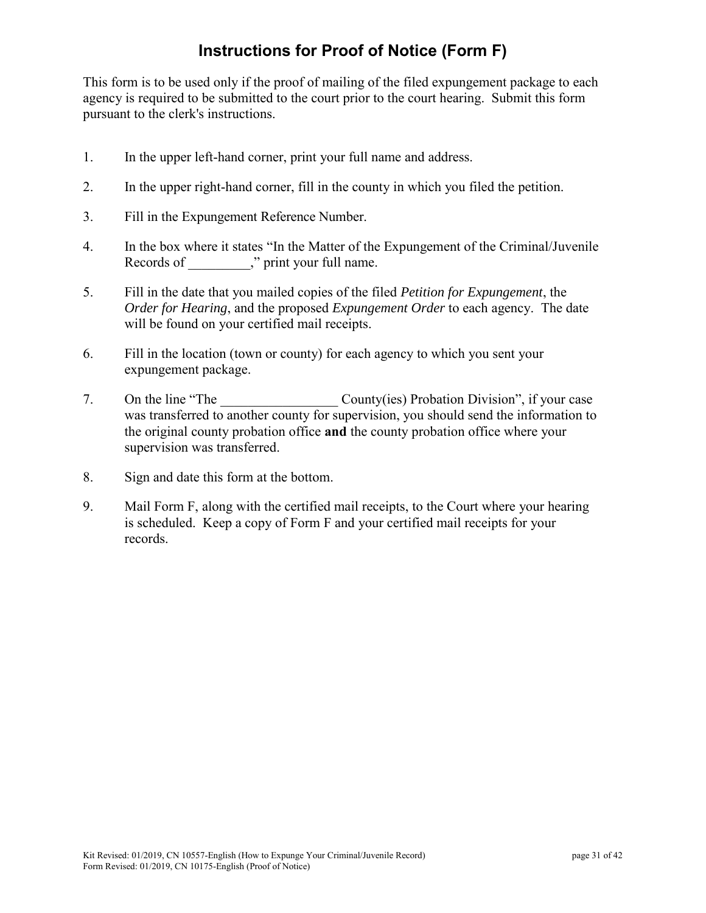# **Instructions for Proof of Notice (Form F)**

This form is to be used only if the proof of mailing of the filed expungement package to each agency is required to be submitted to the court prior to the court hearing. Submit this form pursuant to the clerk's instructions.

- 1. In the upper left-hand corner, print your full name and address.
- 2. In the upper right-hand corner, fill in the county in which you filed the petition.
- 3. Fill in the Expungement Reference Number.
- 4. In the box where it states "In the Matter of the Expungement of the Criminal/Juvenile Records of  $\ldots$ ," print your full name.
- 5. Fill in the date that you mailed copies of the filed *Petition for Expungement*, the *Order for Hearing*, and the proposed *Expungement Order* to each agency. The date will be found on your certified mail receipts.
- 6. Fill in the location (town or county) for each agency to which you sent your expungement package.
- 7. On the line "The County(ies) Probation Division", if your case was transferred to another county for supervision, you should send the information to the original county probation office **and** the county probation office where your supervision was transferred.
- 8. Sign and date this form at the bottom.
- 9. Mail Form F, along with the certified mail receipts, to the Court where your hearing is scheduled. Keep a copy of Form F and your certified mail receipts for your records.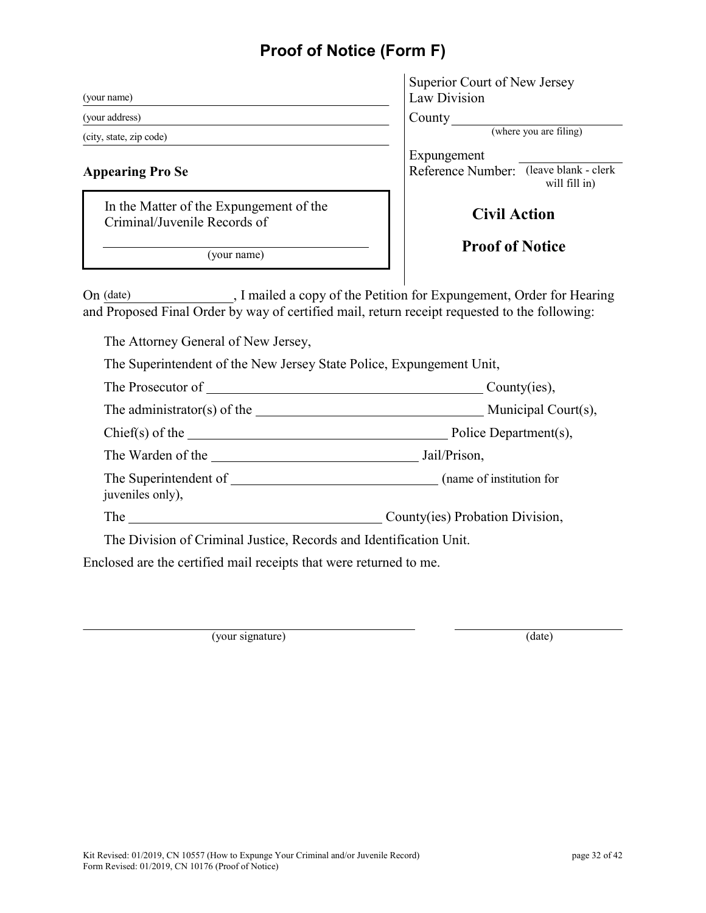# **Proof of Notice (Form F)**

| (your name)                                                             | Superior Court of New Jerse<br>Law Division               |
|-------------------------------------------------------------------------|-----------------------------------------------------------|
| (your address)                                                          | County                                                    |
| (city, state, zip code)                                                 | (where you are fili                                       |
| <b>Appearing Pro Se</b>                                                 | Expungement<br>(leave blace)<br>Reference Number:<br>will |
| In the Matter of the Expungement of the<br>Criminal/Juvenile Records of | <b>Civil Action</b>                                       |
| (vour name)                                                             | <b>Proof of Notice</b>                                    |

| Superior Court of New Jersey |  |
|------------------------------|--|
| Law Division                 |  |

(where you are filing)

Expungement Reference Number: (leave blank - clerk will fill in)

# **Civil Action**

On (date) , I mailed a copy of the Petition for Expungement, Order for Hearing and Proposed Final Order by way of certified mail, return receipt requested to the following:

The Attorney General of New Jersey,

The Superintendent of the New Jersey State Police, Expungement Unit,

| The Prosecutor of                                               | County(ies),                    |
|-----------------------------------------------------------------|---------------------------------|
|                                                                 |                                 |
| $Chief(s)$ of the $\_\_$                                        | Police Department(s),           |
| The Warden of the                                               | Jail/Prison,                    |
| The Superintendent of The Superintendent of<br>juveniles only), | (name of institution for        |
| The                                                             | County(ies) Probation Division, |

The Division of Criminal Justice, Records and Identification Unit.

Enclosed are the certified mail receipts that were returned to me.

(your signature) (date)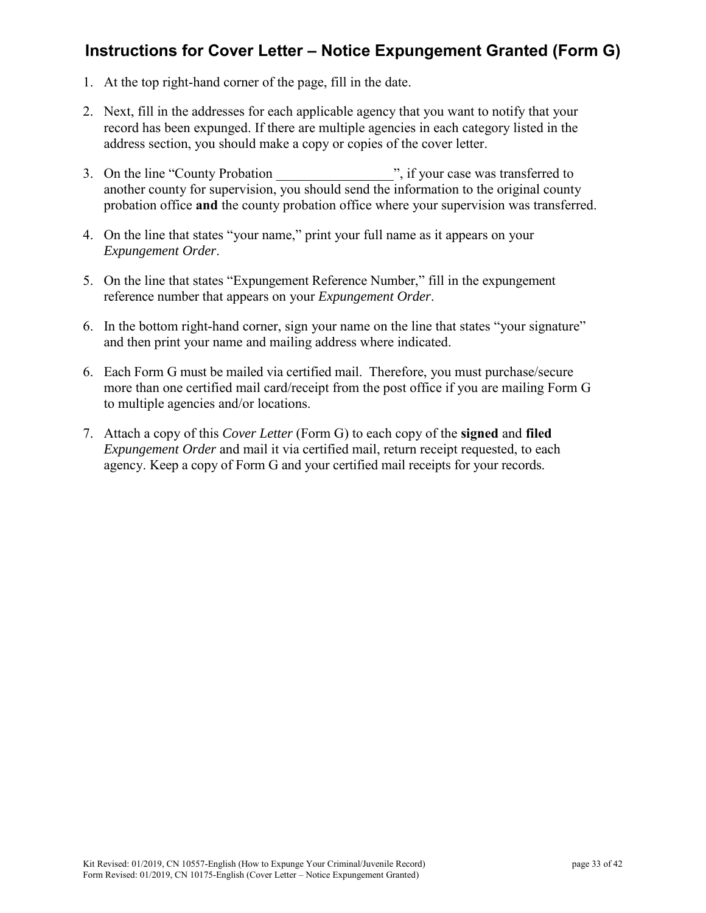# **Instructions for Cover Letter – Notice Expungement Granted (Form G)**

- 1. At the top right-hand corner of the page, fill in the date.
- 2. Next, fill in the addresses for each applicable agency that you want to notify that your record has been expunged. If there are multiple agencies in each category listed in the address section, you should make a copy or copies of the cover letter.
- 3. On the line "County Probation", if your case was transferred to another county for supervision, you should send the information to the original county probation office **and** the county probation office where your supervision was transferred.
- 4. On the line that states "your name," print your full name as it appears on your *Expungement Order*.
- 5. On the line that states "Expungement Reference Number," fill in the expungement reference number that appears on your *Expungement Order*.
- 6. In the bottom right-hand corner, sign your name on the line that states "your signature" and then print your name and mailing address where indicated.
- 6. Each Form G must be mailed via certified mail. Therefore, you must purchase/secure more than one certified mail card/receipt from the post office if you are mailing Form G to multiple agencies and/or locations.
- 7. Attach a copy of this *Cover Letter* (Form G) to each copy of the **signed** and **filed** *Expungement Order* and mail it via certified mail, return receipt requested, to each agency. Keep a copy of Form G and your certified mail receipts for your records.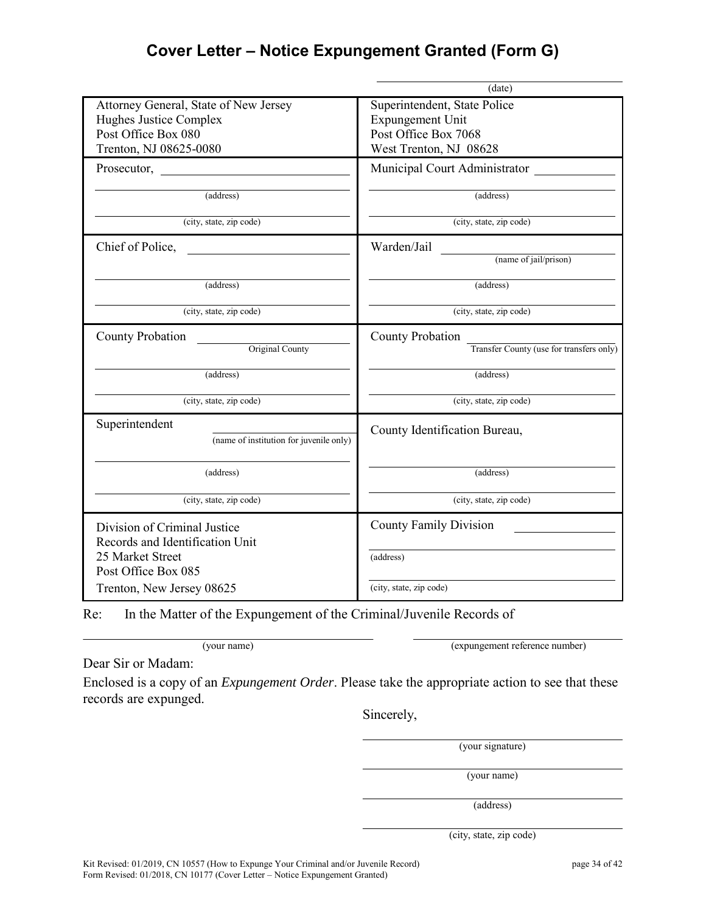# **Cover Letter – Notice Expungement Granted (Form G)**

|                                                                                                            | (date)                                     |
|------------------------------------------------------------------------------------------------------------|--------------------------------------------|
| Attorney General, State of New Jersey                                                                      | Superintendent, State Police               |
| Hughes Justice Complex                                                                                     | <b>Expungement Unit</b>                    |
| Post Office Box 080                                                                                        | Post Office Box 7068                       |
| Trenton, NJ 08625-0080                                                                                     | West Trenton, NJ 08628                     |
|                                                                                                            | Municipal Court Administrator              |
| (address)                                                                                                  | (address)                                  |
| (city, state, zip code)                                                                                    | (city, state, zip code)                    |
| Chief of Police,                                                                                           | Warden/Jail                                |
|                                                                                                            | (name of jail/prison)                      |
| (address)                                                                                                  | (address)                                  |
| (city, state, zip code)                                                                                    | (city, state, zip code)                    |
| <b>County Probation</b>                                                                                    | County Probation                           |
| Original County                                                                                            | Transfer County (use for transfers only)   |
| (address)                                                                                                  | (address)                                  |
| (city, state, zip code)                                                                                    | (city, state, zip code)                    |
| Superintendent<br>(name of institution for juvenile only)                                                  | County Identification Bureau,              |
| (address)                                                                                                  | (address)                                  |
| (city, state, zip code)                                                                                    | (city, state, zip code)                    |
| Division of Criminal Justice<br>Records and Identification Unit<br>25 Market Street<br>Post Office Box 085 | <b>County Family Division</b><br>(address) |
| Trenton, New Jersey 08625                                                                                  | (city, state, zip code)                    |

Re: In the Matter of the Expungement of the Criminal/Juvenile Records of

(your name) (expungement reference number)

Dear Sir or Madam:

Enclosed is a copy of an *Expungement Order*. Please take the appropriate action to see that these records are expunged.

Sincerely,

(your signature)

(your name)

(address)

(city, state, zip code)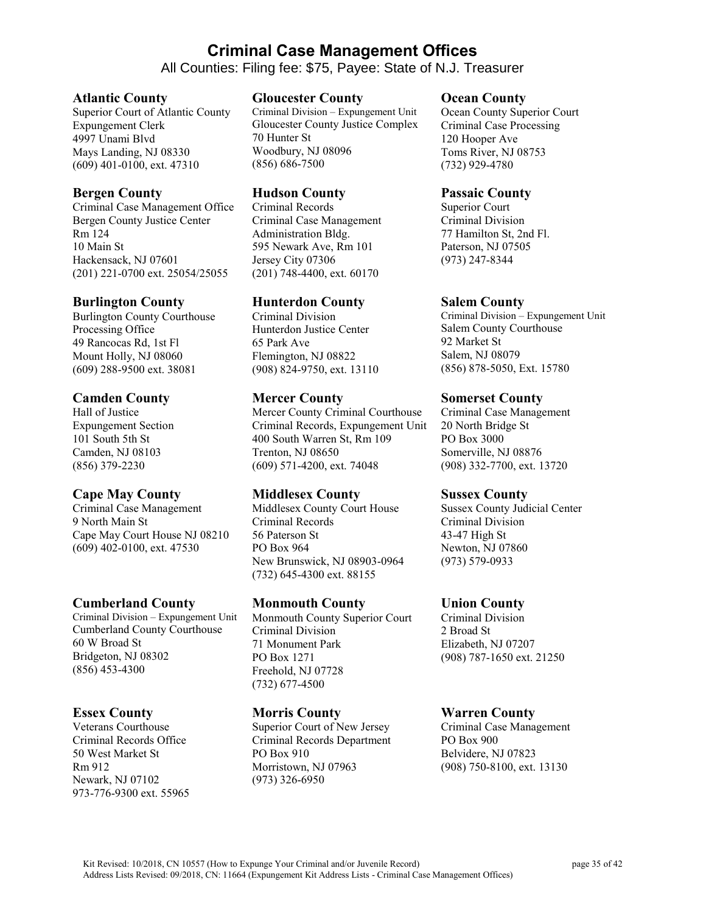# **Criminal Case Management Offices**

All Counties: Filing fee: \$75, Payee: State of N.J. Treasurer

#### **Atlantic County**

Superior Court of Atlantic County Expungement Clerk 4997 Unami Blvd Mays Landing, NJ 08330 (609) 401-0100, ext. 47310

#### **Bergen County**

Criminal Case Management Office Bergen County Justice Center Rm 124 10 Main St Hackensack, NJ 07601 (201) 221-0700 ext. 25054/25055

#### **Burlington County**

Burlington County Courthouse Processing Office 49 Rancocas Rd, 1st Fl Mount Holly, NJ 08060 (609) 288-9500 ext. 38081

#### **Camden County**

Hall of Justice Expungement Section 101 South 5th St Camden, NJ 08103 (856) 379-2230

#### **Cape May County**

Criminal Case Management 9 North Main St Cape May Court House NJ 08210 (609) 402-0100, ext. 47530

#### **Cumberland County**

Criminal Division – Expungement Unit Cumberland County Courthouse 60 W Broad St Bridgeton, NJ 08302 (856) 453-4300

#### **Essex County**

Veterans Courthouse Criminal Records Office 50 West Market St Rm 912 Newark, NJ 07102 973-776-9300 ext. 55965

#### **Gloucester County**

Criminal Division – Expungement Unit Gloucester County Justice Complex 70 Hunter St Woodbury, NJ 08096 (856) 686-7500

#### **Hudson County**

Criminal Records Criminal Case Management Administration Bldg. 595 Newark Ave, Rm 101 Jersey City 07306 (201) 748-4400, ext. 60170

#### **Hunterdon County**

Criminal Division Hunterdon Justice Center 65 Park Ave Flemington, NJ 08822 (908) 824-9750, ext. 13110

#### **Mercer County**

Mercer County Criminal Courthouse Criminal Records, Expungement Unit 400 South Warren St, Rm 109 Trenton, NJ 08650 (609) 571-4200, ext. 74048

#### **Middlesex County**

Middlesex County Court House Criminal Records 56 Paterson St PO Box 964 New Brunswick, NJ 08903-0964 (732) 645-4300 ext. 88155

#### **Monmouth County**

Monmouth County Superior Court Criminal Division 71 Monument Park PO Box 1271 Freehold, NJ 07728 (732) 677-4500

#### **Morris County**

Superior Court of New Jersey Criminal Records Department PO Box 910 Morristown, NJ 07963 (973) 326-6950

#### **Ocean County**

Ocean County Superior Court Criminal Case Processing 120 Hooper Ave Toms River, NJ 08753 (732) 929-4780

#### **Passaic County**

Superior Court Criminal Division 77 Hamilton St, 2nd Fl. Paterson, NJ 07505 (973) 247-8344

#### **Salem County**

Criminal Division – Expungement Unit Salem County Courthouse 92 Market St Salem, NJ 08079 (856) 878-5050, Ext. 15780

#### **Somerset County**

Criminal Case Management 20 North Bridge St PO Box 3000 Somerville, NJ 08876 (908) 332-7700, ext. 13720

#### **Sussex County**

Sussex County Judicial Center Criminal Division 43-47 High St Newton, NJ 07860 (973) 579-0933

#### **Union County**

Criminal Division 2 Broad St Elizabeth, NJ 07207 (908) 787-1650 ext. 21250

#### **Warren County**

Criminal Case Management PO Box 900 Belvidere, NJ 07823 (908) 750-8100, ext. 13130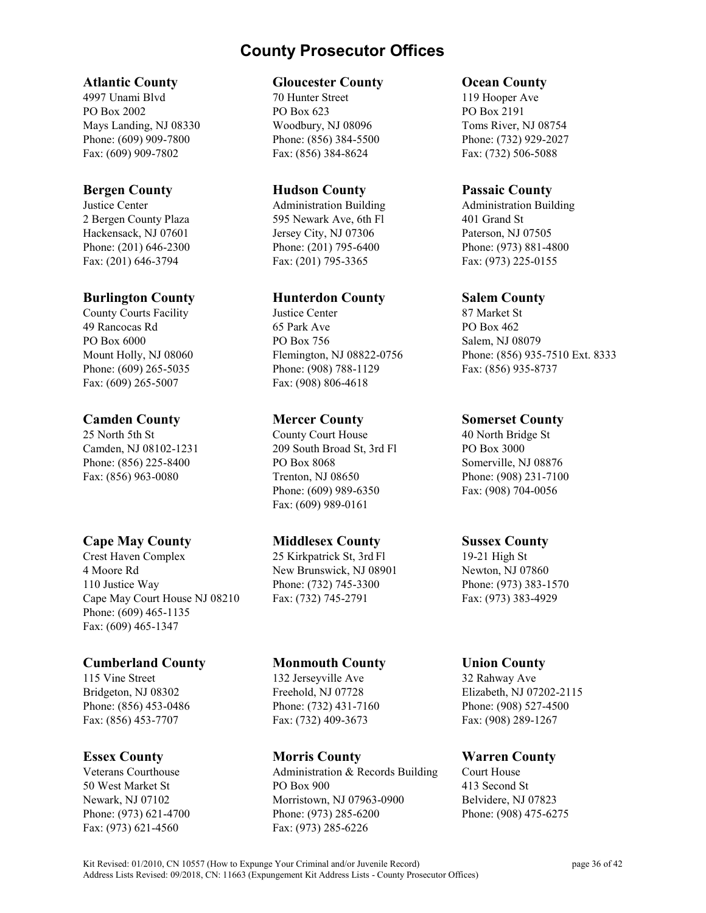# **County Prosecutor Offices**

#### **Atlantic County**

4997 Unami Blvd PO Box 2002 Mays Landing, NJ 08330 Phone: (609) 909-7800 Fax: (609) 909-7802

#### **Bergen County**

Justice Center 2 Bergen County Plaza Hackensack, NJ 07601 Phone: (201) 646-2300 Fax: (201) 646-3794

#### **Burlington County**

County Courts Facility 49 Rancocas Rd PO Box 6000 Mount Holly, NJ 08060 Phone: (609) 265-5035 Fax: (609) 265-5007

#### **Camden County**

25 North 5th St Camden, NJ 08102-1231 Phone: (856) 225-8400 Fax: (856) 963-0080

# **Cape May County**

Crest Haven Complex 4 Moore Rd 110 Justice Way Cape May Court House NJ 08210 Phone: (609) 465-1135 Fax: (609) 465-1347

# **Cumberland County**

115 Vine Street Bridgeton, NJ 08302 Phone: (856) 453-0486 Fax: (856) 453-7707

# **Essex County**

Veterans Courthouse 50 West Market St Newark, NJ 07102 Phone: (973) 621-4700 Fax: (973) 621-4560

#### **Gloucester County**

70 Hunter Street PO Box 623 Woodbury, NJ 08096 Phone: (856) 384-5500 Fax: (856) 384-8624

#### **Hudson County**

Administration Building 595 Newark Ave, 6th Fl Jersey City, NJ 07306 Phone: (201) 795-6400 Fax: (201) 795-3365

### **Hunterdon County**

Justice Center 65 Park Ave PO Box 756 Flemington, NJ 08822-0756 Phone: (908) 788-1129 Fax: (908) 806-4618

#### **Mercer County**

County Court House 209 South Broad St, 3rd Fl PO Box 8068 Trenton, NJ 08650 Phone: (609) 989-6350 Fax: (609) 989-0161

#### **Middlesex County**

25 Kirkpatrick St, 3rd Fl New Brunswick, NJ 08901 Phone: (732) 745-3300 Fax: (732) 745-2791

#### **Monmouth County**

132 Jerseyville Ave Freehold, NJ 07728 Phone: (732) 431-7160 Fax: (732) 409-3673

# **Morris County**

Administration & Records Building PO Box 900 Morristown, NJ 07963-0900 Phone: (973) 285-6200 Fax: (973) 285-6226

#### **Ocean County**

119 Hooper Ave PO Box 2191 Toms River, NJ 08754 Phone: (732) 929-2027 Fax: (732) 506-5088

#### **Passaic County**

Administration Building 401 Grand St Paterson, NJ 07505 Phone: (973) 881-4800 Fax: (973) 225-0155

### **Salem County**

87 Market St PO Box 462 Salem, NJ 08079 Phone: (856) 935-7510 Ext. 8333 Fax: (856) 935-8737

#### **Somerset County**

40 North Bridge St PO Box 3000 Somerville, NJ 08876 Phone: (908) 231-7100 Fax: (908) 704-0056

#### **Sussex County**

19-21 High St Newton, NJ 07860 Phone: (973) 383-1570 Fax: (973) 383-4929

# **Union County**

32 Rahway Ave Elizabeth, NJ 07202-2115 Phone: (908) 527-4500 Fax: (908) 289-1267

# **Warren County**

Court House 413 Second St Belvidere, NJ 07823 Phone: (908) 475-6275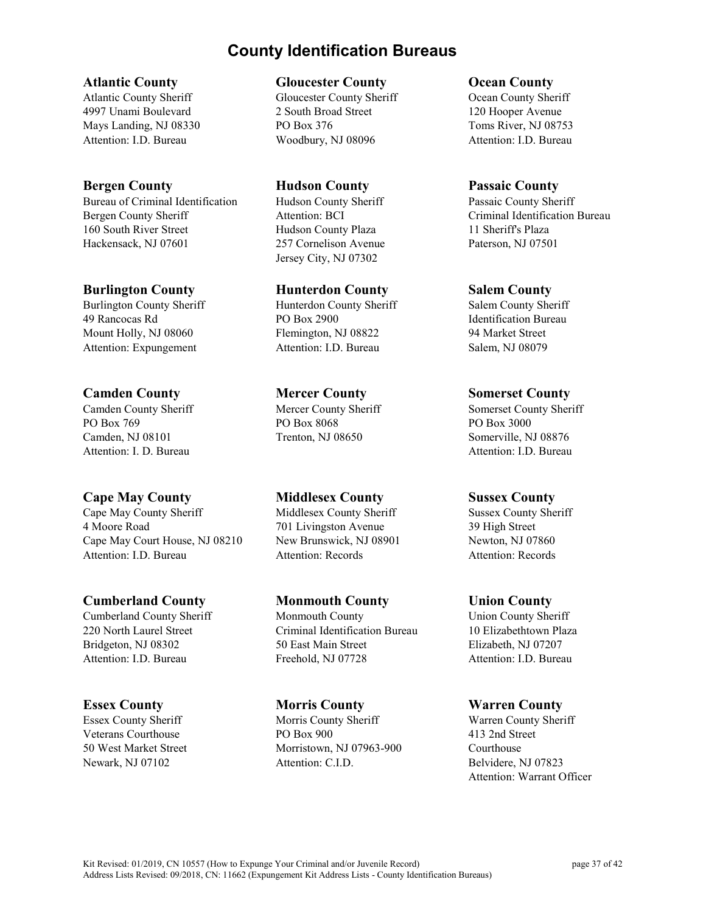# **County Identification Bureaus**

**Atlantic County**

Atlantic County Sheriff 4997 Unami Boulevard Mays Landing, NJ 08330 Attention: I.D. Bureau

### **Bergen County**

Bureau of Criminal Identification Bergen County Sheriff 160 South River Street Hackensack, NJ 07601

# **Burlington County**

Burlington County Sheriff 49 Rancocas Rd Mount Holly, NJ 08060 Attention: Expungement

# **Camden County**

Camden County Sheriff PO Box 769 Camden, NJ 08101 Attention: I. D. Bureau

# **Cape May County**

Cape May County Sheriff 4 Moore Road Cape May Court House, NJ 08210 Attention: I.D. Bureau

# **Cumberland County**

Cumberland County Sheriff 220 North Laurel Street Bridgeton, NJ 08302 Attention: I.D. Bureau

# **Essex County**

Essex County Sheriff Veterans Courthouse 50 West Market Street Newark, NJ 07102

#### **Gloucester County**

Gloucester County Sheriff 2 South Broad Street PO Box 376 Woodbury, NJ 08096

**Hudson County** Hudson County Sheriff Attention: BCI Hudson County Plaza 257 Cornelison Avenue Jersey City, NJ 07302

### **Hunterdon County**

Hunterdon County Sheriff PO Box 2900 Flemington, NJ 08822 Attention: I.D. Bureau

# **Mercer County**

Mercer County Sheriff PO Box 8068 Trenton, NJ 08650

# **Middlesex County**

Middlesex County Sheriff 701 Livingston Avenue New Brunswick, NJ 08901 Attention: Records

# **Monmouth County**

Monmouth County Criminal Identification Bureau 50 East Main Street Freehold, NJ 07728

#### **Morris County**

Morris County Sheriff PO Box 900 Morristown, NJ 07963-900 Attention: C.I.D.

#### **Ocean County**

Ocean County Sheriff 120 Hooper Avenue Toms River, NJ 08753 Attention: I.D. Bureau

#### **Passaic County**

Passaic County Sheriff Criminal Identification Bureau 11 Sheriff's Plaza Paterson, NJ 07501

#### **Salem County**

Salem County Sheriff Identification Bureau 94 Market Street Salem, NJ 08079

### **Somerset County**

Somerset County Sheriff PO Box 3000 Somerville, NJ 08876 Attention: I.D. Bureau

#### **Sussex County**

Sussex County Sheriff 39 High Street Newton, NJ 07860 Attention: Records

#### **Union County**

Union County Sheriff 10 Elizabethtown Plaza Elizabeth, NJ 07207 Attention: I.D. Bureau

#### **Warren County**

Warren County Sheriff 413 2nd Street Courthouse Belvidere, NJ 07823 Attention: Warrant Officer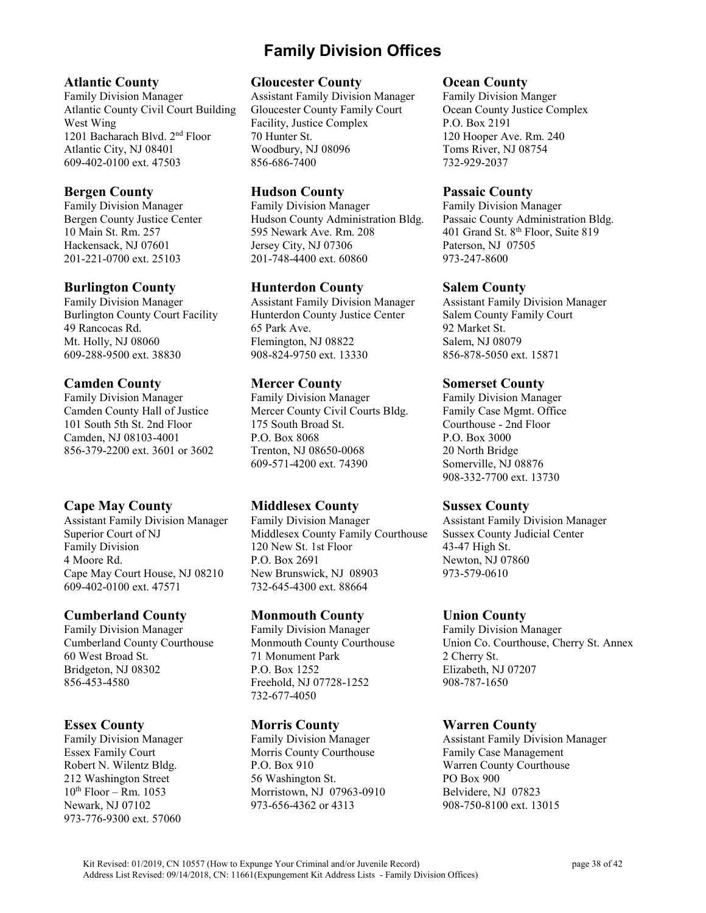# **Family Division Offices**

#### **Atlantic County**

Family Division Manager Atlantic County Civil Court Building West Wing 1201 Bacharach Blvd. 2nd Floor Atlantic City, NJ 08401 609-402-0100 ext. 47503

### **Bergen County**

Family Division Manager Bergen County Justice Center 10 Main St. Rm. 257 Hackensack, NJ 07601 201-221-0700 ext. 25103

#### **Burlington County**

Family Division Manager Burlington County Court Facility 49 Rancocas Rd. Mt. Holly, NJ 08060 609-288-9500 ext. 38830

### **Camden County**

Family Division Manager Camden County Hall of Justice 101 South 5th St. 2nd Floor Camden, NJ 08103-4001 856-379-2200 ext. 3601 or 3602

# **Cape May County**

Assistant Family Division Manager Superior Court of NJ Family Division 4 Moore Rd. Cape May Court House, NJ 08210 609-402-0100 ext. 47571

# **Cumberland County**

Family Division Manager Cumberland County Courthouse 60 West Broad St. Bridgeton, NJ 08302 856-453-4580

#### **Essex County**

Family Division Manager Essex Family Court Robert N. Wilentz Bldg. 212 Washington Street  $10^{th}$  Floor – Rm.  $1053$ Newark, NJ 07102 973-776-9300 ext. 57060

#### **Gloucester County**

Assistant Family Division Manager Gloucester County Family Court Facility, Justice Complex 70 Hunter St. Woodbury, NJ 08096 856-686-7400

#### **Hudson County**

Family Division Manager Hudson County Administration Bldg. 595 Newark Ave. Rm. 208 Jersey City, NJ 07306 201-748-4400 ext. 60860

### **Hunterdon County**

Assistant Family Division Manager Hunterdon County Justice Center 65 Park Ave. Flemington, NJ 08822 908-824-9750 ext. 13330

### **Mercer County**

Family Division Manager Mercer County Civil Courts Bldg. 175 South Broad St. P.O. Box 8068 Trenton, NJ 08650-0068 609-571-4200 ext. 74390

# **Middlesex County**

Family Division Manager Middlesex County Family Courthouse 120 New St. 1st Floor P.O. Box 2691 New Brunswick, NJ 08903 732-645-4300 ext. 88664

# **Monmouth County**

Family Division Manager Monmouth County Courthouse 71 Monument Park P.O. Box 1252 Freehold, NJ 07728-1252 732-677-4050

# **Morris County**

Family Division Manager Morris County Courthouse P.O. Box 910 56 Washington St. Morristown, NJ 07963-0910 973-656-4362 or 4313

#### **Ocean County**

Family Division Manger Ocean County Justice Complex P.O. Box 2191 120 Hooper Ave. Rm. 240 Toms River, NJ 08754 732-929-2037

#### **Passaic County**

Family Division Manager Passaic County Administration Bldg. 401 Grand St. 8<sup>th</sup> Floor, Suite 819 Paterson, NJ 07505 973-247-8600

#### **Salem County**

Assistant Family Division Manager Salem County Family Court 92 Market St. Salem, NJ 08079 856-878-5050 ext. 15871

### **Somerset County**

Family Division Manager Family Case Mgmt. Office Courthouse - 2nd Floor P.O. Box 3000 20 North Bridge Somerville, NJ 08876 908-332-7700 ext. 13730

# **Sussex County**

Assistant Family Division Manager Sussex County Judicial Center 43-47 High St. Newton, NJ 07860 973-579-0610

# **Union County**

Family Division Manager Union Co. Courthouse, Cherry St. Annex 2 Cherry St. Elizabeth, NJ 07207 908-787-1650

# **Warren County**

Assistant Family Division Manager Family Case Management Warren County Courthouse PO Box 900 Belvidere, NJ 07823 908-750-8100 ext. 13015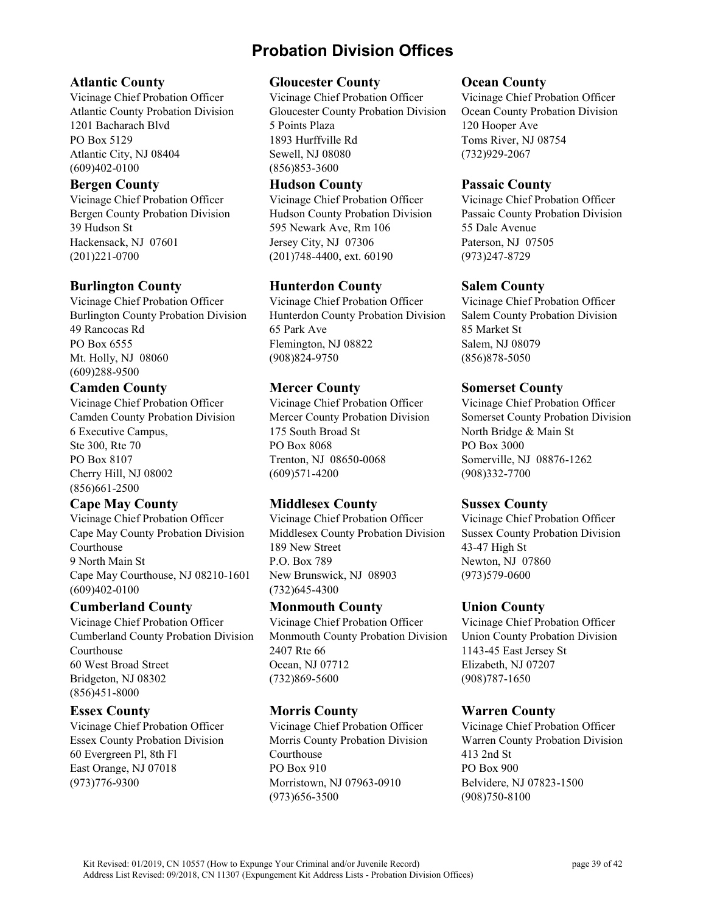# **Probation Division Offices**

#### **Atlantic County**

Vicinage Chief Probation Officer Atlantic County Probation Division 1201 Bacharach Blvd PO Box 5129 Atlantic City, NJ 08404 (609)402-0100

#### **Bergen County**

Vicinage Chief Probation Officer Bergen County Probation Division 39 Hudson St Hackensack, NJ 07601 (201)221-0700

#### **Burlington County**

Vicinage Chief Probation Officer Burlington County Probation Division 49 Rancocas Rd PO Box 6555 Mt. Holly, NJ 08060 (609)288-9500

#### **Camden County**

Vicinage Chief Probation Officer Camden County Probation Division 6 Executive Campus, Ste 300, Rte 70 PO Box 8107 Cherry Hill, NJ 08002 (856)661-2500

# **Cape May County**

Vicinage Chief Probation Officer Cape May County Probation Division Courthouse 9 North Main St Cape May Courthouse, NJ 08210-1601 (609)402-0100

#### **Cumberland County**

Vicinage Chief Probation Officer Cumberland County Probation Division Courthouse 60 West Broad Street Bridgeton, NJ 08302 (856)451-8000

#### **Essex County**

Vicinage Chief Probation Officer Essex County Probation Division 60 Evergreen Pl, 8th Fl East Orange, NJ 07018 (973)776-9300

#### **Gloucester County**

Vicinage Chief Probation Officer Gloucester County Probation Division 5 Points Plaza 1893 Hurffville Rd Sewell, NJ 08080 (856)853-3600

#### **Hudson County**

Vicinage Chief Probation Officer Hudson County Probation Division 595 Newark Ave, Rm 106 Jersey City, NJ 07306 (201)748-4400, ext. 60190

### **Hunterdon County**

Vicinage Chief Probation Officer Hunterdon County Probation Division 65 Park Ave Flemington, NJ 08822 (908)824-9750

# **Mercer County**

Vicinage Chief Probation Officer Mercer County Probation Division 175 South Broad St PO Box 8068 Trenton, NJ 08650-0068 (609)571-4200

# **Middlesex County**

Vicinage Chief Probation Officer Middlesex County Probation Division 189 New Street P.O. Box 789 New Brunswick, NJ 08903 (732)645-4300

#### **Monmouth County**

Vicinage Chief Probation Officer Monmouth County Probation Division 2407 Rte 66 Ocean, NJ 07712 (732)869-5600

# **Morris County**

Vicinage Chief Probation Officer Morris County Probation Division Courthouse PO Box 910 Morristown, NJ 07963-0910 (973)656-3500

#### **Ocean County**

Vicinage Chief Probation Officer Ocean County Probation Division 120 Hooper Ave Toms River, NJ 08754 (732)929-2067

#### **Passaic County**

Vicinage Chief Probation Officer Passaic County Probation Division 55 Dale Avenue Paterson, NJ 07505 (973)247-8729

#### **Salem County**

Vicinage Chief Probation Officer Salem County Probation Division 85 Market St Salem, NJ 08079 (856)878-5050

#### **Somerset County**

Vicinage Chief Probation Officer Somerset County Probation Division North Bridge & Main St PO Box 3000 Somerville, NJ 08876-1262 (908)332-7700

#### **Sussex County**

Vicinage Chief Probation Officer Sussex County Probation Division 43-47 High St Newton, NJ 07860 (973)579-0600

# **Union County**

Vicinage Chief Probation Officer Union County Probation Division 1143-45 East Jersey St Elizabeth, NJ 07207 (908)787-1650

# **Warren County**

Vicinage Chief Probation Officer Warren County Probation Division 413 2nd St PO Box 900 Belvidere, NJ 07823-1500 (908)750-8100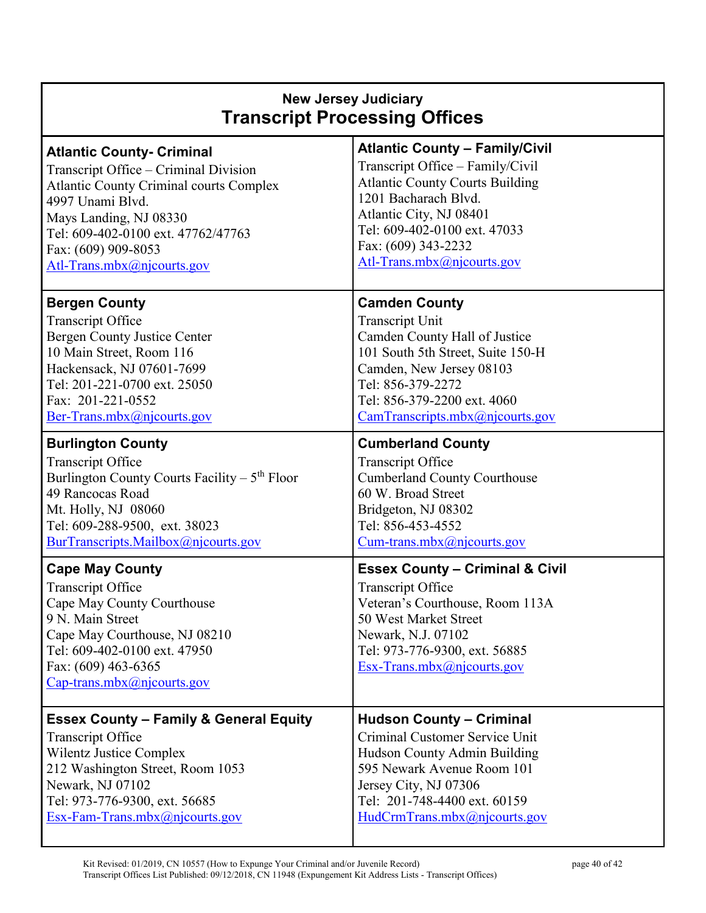| <b>New Jersey Judiciary</b><br><b>Transcript Processing Offices</b>                                                                                                                                                          |                                                                                                                                                                                                                         |  |
|------------------------------------------------------------------------------------------------------------------------------------------------------------------------------------------------------------------------------|-------------------------------------------------------------------------------------------------------------------------------------------------------------------------------------------------------------------------|--|
| <b>Atlantic County- Criminal</b>                                                                                                                                                                                             | <b>Atlantic County - Family/Civil</b>                                                                                                                                                                                   |  |
| Transcript Office – Criminal Division                                                                                                                                                                                        | Transcript Office - Family/Civil                                                                                                                                                                                        |  |
| <b>Atlantic County Criminal courts Complex</b>                                                                                                                                                                               | <b>Atlantic County Courts Building</b>                                                                                                                                                                                  |  |
| 4997 Unami Blvd.                                                                                                                                                                                                             | 1201 Bacharach Blvd.                                                                                                                                                                                                    |  |
| Mays Landing, NJ 08330                                                                                                                                                                                                       | Atlantic City, NJ 08401                                                                                                                                                                                                 |  |
| Tel: 609-402-0100 ext. 47762/47763                                                                                                                                                                                           | Tel: 609-402-0100 ext. 47033                                                                                                                                                                                            |  |
| Fax: (609) 909-8053                                                                                                                                                                                                          | Fax: (609) 343-2232                                                                                                                                                                                                     |  |
| Atl-Trans.mbx@njcourts.gov                                                                                                                                                                                                   | Atl-Trans.mbx@njcourts.gov                                                                                                                                                                                              |  |
| <b>Bergen County</b>                                                                                                                                                                                                         | <b>Camden County</b>                                                                                                                                                                                                    |  |
| <b>Transcript Office</b>                                                                                                                                                                                                     | <b>Transcript Unit</b>                                                                                                                                                                                                  |  |
| <b>Bergen County Justice Center</b>                                                                                                                                                                                          | Camden County Hall of Justice                                                                                                                                                                                           |  |
| 10 Main Street, Room 116                                                                                                                                                                                                     | 101 South 5th Street, Suite 150-H                                                                                                                                                                                       |  |
| Hackensack, NJ 07601-7699                                                                                                                                                                                                    | Camden, New Jersey 08103                                                                                                                                                                                                |  |
| Tel: 201-221-0700 ext. 25050                                                                                                                                                                                                 | Tel: 856-379-2272                                                                                                                                                                                                       |  |
| Fax: 201-221-0552                                                                                                                                                                                                            | Tel: 856-379-2200 ext. 4060                                                                                                                                                                                             |  |
| Ber-Trans.mbx@njcourts.gov                                                                                                                                                                                                   | CamTranscripts.mbx@njcourts.gov                                                                                                                                                                                         |  |
| <b>Burlington County</b>                                                                                                                                                                                                     | <b>Cumberland County</b>                                                                                                                                                                                                |  |
| <b>Transcript Office</b>                                                                                                                                                                                                     | <b>Transcript Office</b>                                                                                                                                                                                                |  |
| Burlington County Courts Facility $-5th$ Floor                                                                                                                                                                               | <b>Cumberland County Courthouse</b>                                                                                                                                                                                     |  |
| 49 Rancocas Road                                                                                                                                                                                                             | 60 W. Broad Street                                                                                                                                                                                                      |  |
| Mt. Holly, NJ 08060                                                                                                                                                                                                          | Bridgeton, NJ 08302                                                                                                                                                                                                     |  |
| Tel: 609-288-9500, ext. 38023                                                                                                                                                                                                | Tel: 856-453-4552                                                                                                                                                                                                       |  |
| BurTranscripts.Mailbox@njcourts.gov                                                                                                                                                                                          | Cum-trans.mbx@njcourts.gov                                                                                                                                                                                              |  |
| <b>Cape May County</b><br><b>Transcript Office</b><br>Cape May County Courthouse<br>9 N. Main Street<br>Cape May Courthouse, NJ 08210<br>Tel: 609-402-0100 ext. 47950<br>Fax: (609) 463-6365<br>$Cap-trans.mbx@njcounts.gov$ | <b>Essex County - Criminal &amp; Civil</b><br><b>Transcript Office</b><br>Veteran's Courthouse, Room 113A<br>50 West Market Street<br>Newark, N.J. 07102<br>Tel: 973-776-9300, ext. 56885<br>Esx-Trans.mbx@njcourts.gov |  |
| <b>Essex County - Family &amp; General Equity</b>                                                                                                                                                                            | <b>Hudson County - Criminal</b>                                                                                                                                                                                         |  |
| <b>Transcript Office</b>                                                                                                                                                                                                     | Criminal Customer Service Unit                                                                                                                                                                                          |  |
| <b>Wilentz Justice Complex</b>                                                                                                                                                                                               | Hudson County Admin Building                                                                                                                                                                                            |  |
| 212 Washington Street, Room 1053                                                                                                                                                                                             | 595 Newark Avenue Room 101                                                                                                                                                                                              |  |
| Newark, NJ 07102                                                                                                                                                                                                             | Jersey City, NJ 07306                                                                                                                                                                                                   |  |
| Tel: 973-776-9300, ext. 56685                                                                                                                                                                                                | Tel: 201-748-4400 ext. 60159                                                                                                                                                                                            |  |
| Esx-Fam-Trans.mbx@njcourts.gov                                                                                                                                                                                               | HudCrmTrans.mbx@njcourts.gov                                                                                                                                                                                            |  |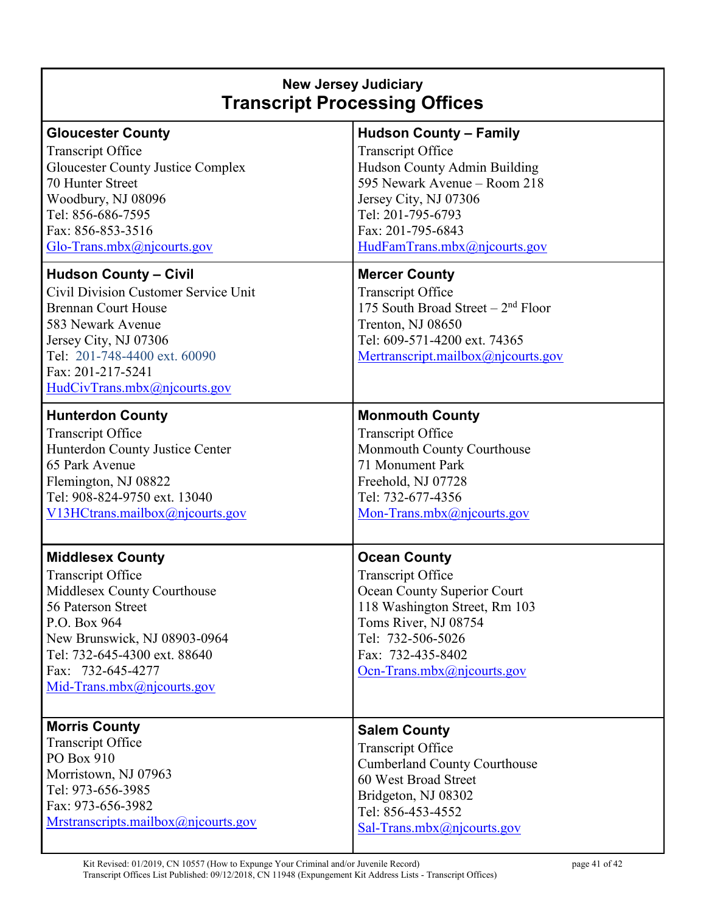# **New Jersey Judiciary Transcript Processing Offices**

| <b>Gloucester County</b>                 | <b>Hudson County - Family</b>       |
|------------------------------------------|-------------------------------------|
| <b>Transcript Office</b>                 | <b>Transcript Office</b>            |
| <b>Gloucester County Justice Complex</b> | Hudson County Admin Building        |
| 70 Hunter Street                         | 595 Newark Avenue – Room 218        |
| Woodbury, NJ 08096                       | Jersey City, NJ 07306               |
| Tel: 856-686-7595                        | Tel: 201-795-6793                   |
| Fax: 856-853-3516                        | Fax: 201-795-6843                   |
| Glo-Trans.mbx@njcourts.gov               | HudFamTrans.mbx@njcourts.gov        |
| <b>Hudson County - Civil</b>             | <b>Mercer County</b>                |
| Civil Division Customer Service Unit     | <b>Transcript Office</b>            |
| <b>Brennan Court House</b>               | 175 South Broad Street $-2nd$ Floor |
| 583 Newark Avenue                        | Trenton, NJ 08650                   |
| Jersey City, NJ 07306                    | Tel: 609-571-4200 ext. 74365        |
| Tel: 201-748-4400 ext. 60090             | Mertranscript.mailbox@njcourts.gov  |
| Fax: 201-217-5241                        |                                     |
| HudCivTrans.mbx@njcourts.gov             |                                     |
| <b>Hunterdon County</b>                  | <b>Monmouth County</b>              |
| <b>Transcript Office</b>                 | <b>Transcript Office</b>            |
| Hunterdon County Justice Center          | Monmouth County Courthouse          |
| 65 Park Avenue                           | 71 Monument Park                    |
| Flemington, NJ 08822                     | Freehold, NJ 07728                  |
| Tel: 908-824-9750 ext. 13040             | Tel: 732-677-4356                   |
| V13HCtrans.mailbox@njcourts.gov          | Mon-Trans.mbx@njcourts.gov          |
|                                          |                                     |
| <b>Middlesex County</b>                  | <b>Ocean County</b>                 |
| <b>Transcript Office</b>                 | Transcript Office                   |
| Middlesex County Courthouse              | Ocean County Superior Court         |
| 56 Paterson Street                       | 118 Washington Street, Rm 103       |
| P.O. Box 964                             | Toms River, NJ 08754                |
| New Brunswick, NJ 08903-0964             | Tel: 732-506-5026                   |
| Tel: 732-645-4300 ext. 88640             | Fax: 732-435-8402                   |
| Fax: 732-645-4277                        | Ocn-Trans.mbx $(a)$ njcourts.gov    |
| Mid-Trans.mbx@njcourts.gov               |                                     |
|                                          |                                     |
| <b>Morris County</b>                     | <b>Salem County</b>                 |
| <b>Transcript Office</b>                 | Transcript Office                   |
| PO Box 910                               | <b>Cumberland County Courthouse</b> |
| Morristown, NJ 07963                     | 60 West Broad Street                |
| Tel: 973-656-3985                        | Bridgeton, NJ 08302                 |
| Fax: 973-656-3982                        | Tel: 856-453-4552                   |
| Mrstranscripts.mailbox@njcourts.gov      | Sal-Trans.mbx $(a)$ njcourts.gov    |
|                                          |                                     |